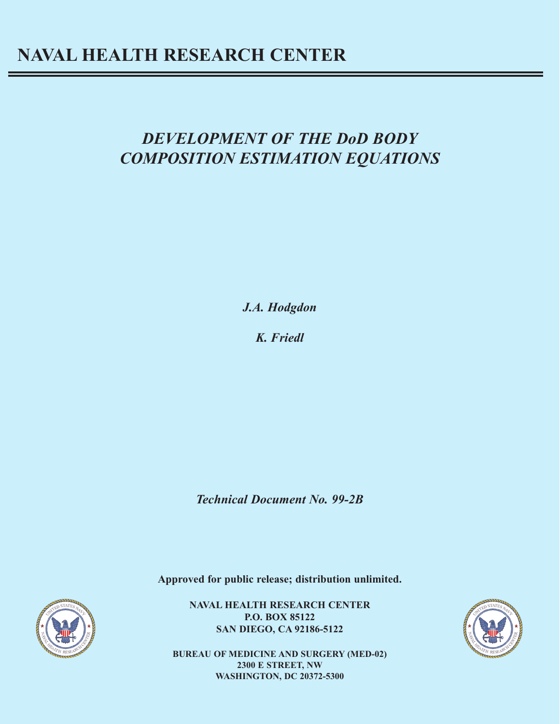# *DEVELOPMENT OF THE DoD BODY COMPOSITION ESTIMATION EQUATIONS*

*J.A. Hodgdon*

*K. Friedl*

*Technical Document No. 99-2B*

**Approved for public release; distribution unlimited.**

**NAVAL HEALTH RESEARCH CENTER P.O. BOX 85122 SAN DIEGO, CA 92186-5122**

**BUREAU OF MEDICINE AND SURGERY (MED-02) 2300 E STREET, NW WASHINGTON, DC 20372-5300**



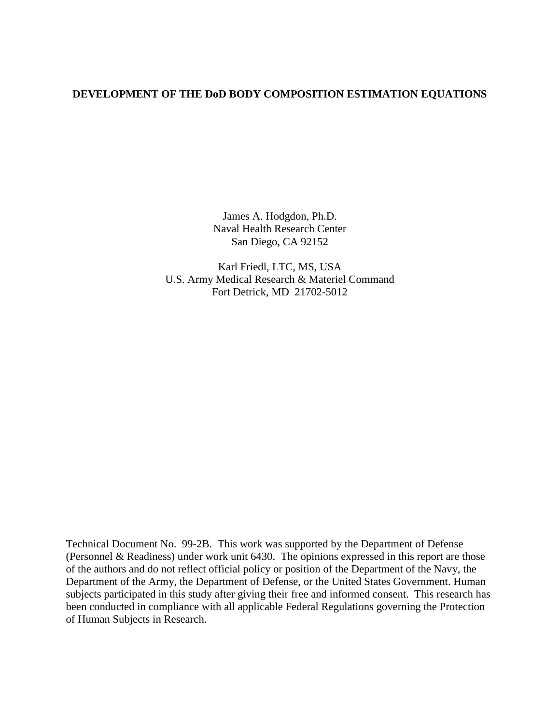### **DEVELOPMENT OF THE DoD BODY COMPOSITION ESTIMATION EQUATIONS**

James A. Hodgdon, Ph.D. Naval Health Research Center San Diego, CA 92152

Karl Friedl, LTC, MS, USA U.S. Army Medical Research & Materiel Command Fort Detrick, MD 21702-5012

Technical Document No. 99-2B. This work was supported by the Department of Defense (Personnel & Readiness) under work unit 6430. The opinions expressed in this report are those of the authors and do not reflect official policy or position of the Department of the Navy, the Department of the Army, the Department of Defense, or the United States Government. Human subjects participated in this study after giving their free and informed consent. This research has been conducted in compliance with all applicable Federal Regulations governing the Protection of Human Subjects in Research.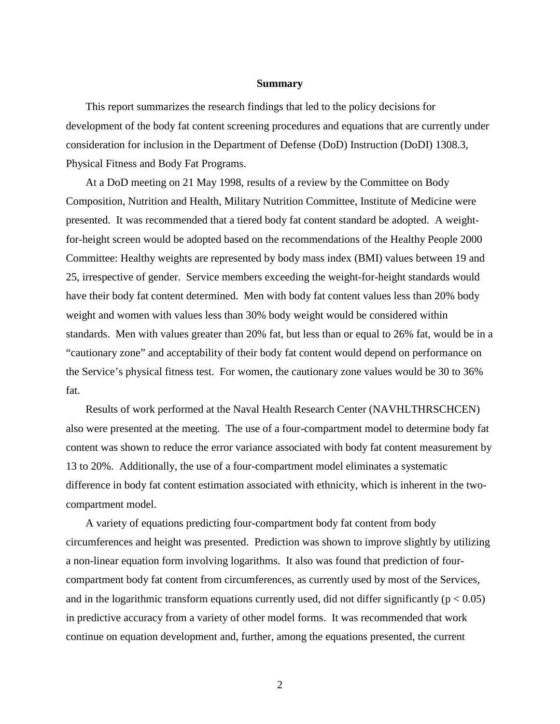#### **Summary**

This report summarizes the research findings that led to the policy decisions for development of the body fat content screening procedures and equations that are currently under consideration for inclusion in the Department of Defense (DoD) Instruction (DoDI) 1308.3, Physical Fitness and Body Fat Programs.

At a DoD meeting on 21 May 1998, results of a review by the Committee on Body Composition, Nutrition and Health, Military Nutrition Committee, Institute of Medicine were presented. It was recommended that a tiered body fat content standard be adopted. A weightfor-height screen would be adopted based on the recommendations of the Healthy People 2000 Committee: Healthy weights are represented by body mass index (BMI) values between 19 and 25, irrespective of gender. Service members exceeding the weight-for-height standards would have their body fat content determined. Men with body fat content values less than 20% body weight and women with values less than 30% body weight would be considered within standards. Men with values greater than 20% fat, but less than or equal to 26% fat, would be in a "cautionary zone" and acceptability of their body fat content would depend on performance on the Service's physical fitness test. For women, the cautionary zone values would be 30 to 36% fat.

Results of work performed at the Naval Health Research Center (NAVHLTHRSCHCEN) also were presented at the meeting. The use of a four-compartment model to determine body fat content was shown to reduce the error variance associated with body fat content measurement by 13 to 20%. Additionally, the use of a four-compartment model eliminates a systematic difference in body fat content estimation associated with ethnicity, which is inherent in the twocompartment model.

A variety of equations predicting four-compartment body fat content from body circumferences and height was presented. Prediction was shown to improve slightly by utilizing a non-linear equation form involving logarithms. It also was found that prediction of fourcompartment body fat content from circumferences, as currently used by most of the Services, and in the logarithmic transform equations currently used, did not differ significantly ( $p < 0.05$ ) in predictive accuracy from a variety of other model forms. It was recommended that work continue on equation development and, further, among the equations presented, the current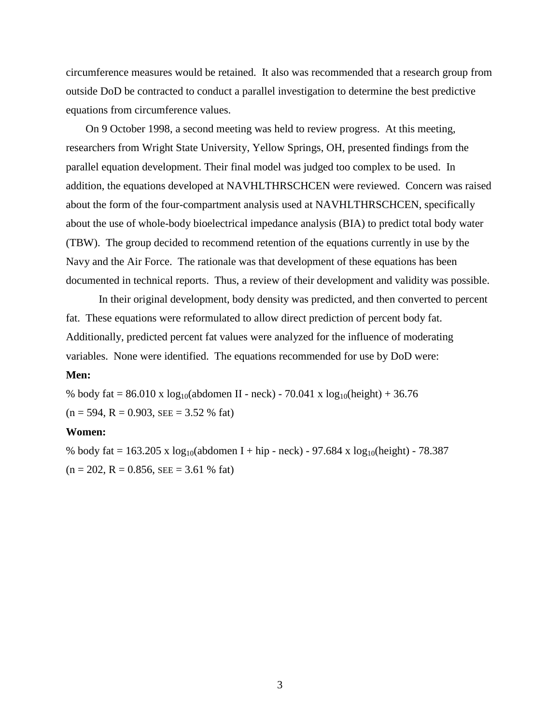circumference measures would be retained. It also was recommended that a research group from outside DoD be contracted to conduct a parallel investigation to determine the best predictive equations from circumference values.

On 9 October 1998, a second meeting was held to review progress. At this meeting, researchers from Wright State University, Yellow Springs, OH, presented findings from the parallel equation development. Their final model was judged too complex to be used. In addition, the equations developed at NAVHLTHRSCHCEN were reviewed. Concern was raised about the form of the four-compartment analysis used at NAVHLTHRSCHCEN, specifically about the use of whole-body bioelectrical impedance analysis (BIA) to predict total body water (TBW). The group decided to recommend retention of the equations currently in use by the Navy and the Air Force. The rationale was that development of these equations has been documented in technical reports. Thus, a review of their development and validity was possible.

In their original development, body density was predicted, and then converted to percent fat. These equations were reformulated to allow direct prediction of percent body fat. Additionally, predicted percent fat values were analyzed for the influence of moderating variables. None were identified. The equations recommended for use by DoD were: **Men:**

% body fat = 86.010 x  $\log_{10}$ (abdomen II - neck) - 70.041 x  $\log_{10}$ (height) + 36.76  $(n = 594, R = 0.903, SEE = 3.52 %$  fat)

#### **Women:**

% body fat = 163.205 x log<sub>10</sub>(abdomen I + hip - neck) - 97.684 x log<sub>10</sub>(height) - 78.387  $(n = 202, R = 0.856, SEE = 3.61 %$  fat)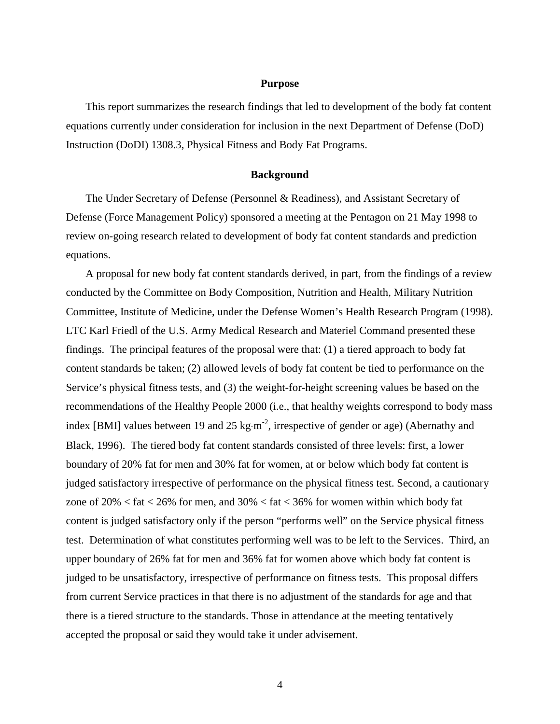#### **Purpose**

This report summarizes the research findings that led to development of the body fat content equations currently under consideration for inclusion in the next Department of Defense (DoD) Instruction (DoDI) 1308.3, Physical Fitness and Body Fat Programs.

#### **Background**

The Under Secretary of Defense (Personnel & Readiness), and Assistant Secretary of Defense (Force Management Policy) sponsored a meeting at the Pentagon on 21 May 1998 to review on-going research related to development of body fat content standards and prediction equations.

A proposal for new body fat content standards derived, in part, from the findings of a review conducted by the Committee on Body Composition, Nutrition and Health, Military Nutrition Committee, Institute of Medicine, under the Defense Women's Health Research Program (1998). LTC Karl Friedl of the U.S. Army Medical Research and Materiel Command presented these findings. The principal features of the proposal were that: (1) a tiered approach to body fat content standards be taken; (2) allowed levels of body fat content be tied to performance on the Service's physical fitness tests, and (3) the weight-for-height screening values be based on the recommendations of the Healthy People 2000 (i.e., that healthy weights correspond to body mass index [BMI] values between 19 and 25 kg⋅m<sup>-2</sup>, irrespective of gender or age) (Abernathy and Black, 1996). The tiered body fat content standards consisted of three levels: first, a lower boundary of 20% fat for men and 30% fat for women, at or below which body fat content is judged satisfactory irrespective of performance on the physical fitness test. Second, a cautionary zone of  $20\% <$  fat  $<$  26% for men, and 30%  $<$  fat  $<$  36% for women within which body fat content is judged satisfactory only if the person "performs well" on the Service physical fitness test. Determination of what constitutes performing well was to be left to the Services. Third, an upper boundary of 26% fat for men and 36% fat for women above which body fat content is judged to be unsatisfactory, irrespective of performance on fitness tests. This proposal differs from current Service practices in that there is no adjustment of the standards for age and that there is a tiered structure to the standards. Those in attendance at the meeting tentatively accepted the proposal or said they would take it under advisement.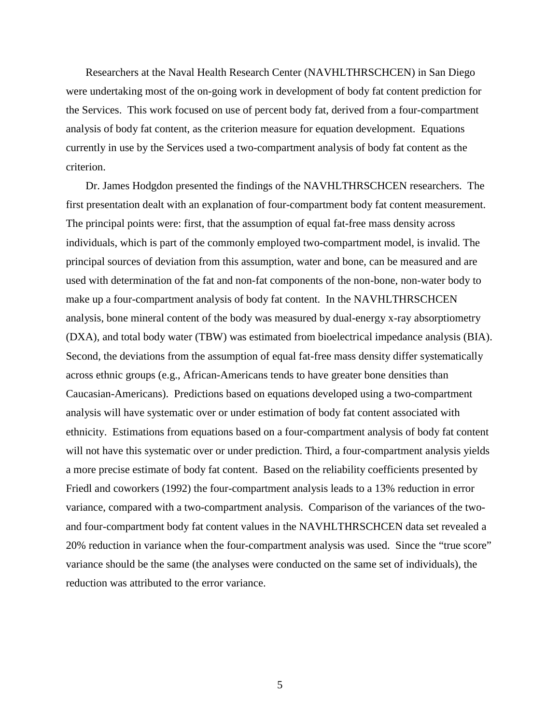Researchers at the Naval Health Research Center (NAVHLTHRSCHCEN) in San Diego were undertaking most of the on-going work in development of body fat content prediction for the Services. This work focused on use of percent body fat, derived from a four-compartment analysis of body fat content, as the criterion measure for equation development. Equations currently in use by the Services used a two-compartment analysis of body fat content as the criterion.

Dr. James Hodgdon presented the findings of the NAVHLTHRSCHCEN researchers. The first presentation dealt with an explanation of four-compartment body fat content measurement. The principal points were: first, that the assumption of equal fat-free mass density across individuals, which is part of the commonly employed two-compartment model, is invalid. The principal sources of deviation from this assumption, water and bone, can be measured and are used with determination of the fat and non-fat components of the non-bone, non-water body to make up a four-compartment analysis of body fat content. In the NAVHLTHRSCHCEN analysis, bone mineral content of the body was measured by dual-energy x-ray absorptiometry (DXA), and total body water (TBW) was estimated from bioelectrical impedance analysis (BIA). Second, the deviations from the assumption of equal fat-free mass density differ systematically across ethnic groups (e.g., African-Americans tends to have greater bone densities than Caucasian-Americans). Predictions based on equations developed using a two-compartment analysis will have systematic over or under estimation of body fat content associated with ethnicity. Estimations from equations based on a four-compartment analysis of body fat content will not have this systematic over or under prediction. Third, a four-compartment analysis yields a more precise estimate of body fat content. Based on the reliability coefficients presented by Friedl and coworkers (1992) the four-compartment analysis leads to a 13% reduction in error variance, compared with a two-compartment analysis. Comparison of the variances of the twoand four-compartment body fat content values in the NAVHLTHRSCHCEN data set revealed a 20% reduction in variance when the four-compartment analysis was used. Since the "true score" variance should be the same (the analyses were conducted on the same set of individuals), the reduction was attributed to the error variance.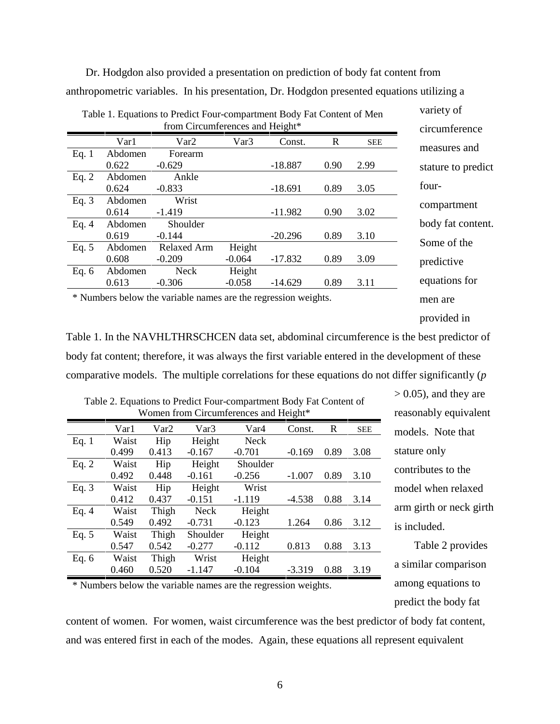Dr. Hodgdon also provided a presentation on prediction of body fat content from anthropometric variables. In his presentation, Dr. Hodgdon presented equations utilizing a

|                                                                | Table 1. Equations to Predict Four-compartment Body Fat Content of Men |                                 | variety of |           |              |            |                   |
|----------------------------------------------------------------|------------------------------------------------------------------------|---------------------------------|------------|-----------|--------------|------------|-------------------|
|                                                                |                                                                        | from Circumferences and Height* |            |           |              |            | circumference     |
|                                                                | Var1                                                                   | Var <sub>2</sub>                | Var3       | Const.    | $\mathbb{R}$ | <b>SEE</b> |                   |
| Eq. $1$                                                        | Abdomen                                                                | Forearm                         |            |           |              |            | measures and      |
|                                                                | 0.622                                                                  | stature to predict              |            |           |              |            |                   |
| Eq. $2$                                                        | Abdomen                                                                | Ankle                           |            |           |              |            |                   |
|                                                                | 0.624                                                                  | $-0.833$                        |            | $-18.691$ | 0.89         | 3.05       | four-             |
| Eq. $3$                                                        | Abdomen                                                                | Wrist                           |            |           |              |            | compartment       |
|                                                                | 0.614                                                                  | $-1.419$                        |            | $-11.982$ | 0.90         | 3.02       |                   |
| Eq. $4$                                                        | Abdomen                                                                | Shoulder                        |            |           |              |            | body fat content. |
|                                                                | 0.619                                                                  | $-0.144$                        |            | $-20.296$ | 0.89         | 3.10       | Some of the       |
| Eq. $5$                                                        | Abdomen                                                                | <b>Relaxed Arm</b>              | Height     |           |              |            |                   |
|                                                                | 0.608                                                                  | $-0.209$                        | $-0.064$   | $-17.832$ | 0.89         | 3.09       | predictive        |
| Eq. $6$                                                        | Abdomen                                                                | <b>Neck</b>                     | Height     |           |              |            |                   |
|                                                                | equations for                                                          |                                 |            |           |              |            |                   |
| * Numbers below the variable names are the regression weights. | men are                                                                |                                 |            |           |              |            |                   |

provided in

Table 1. In the NAVHLTHRSCHCEN data set, abdominal circumference is the best predictor of body fat content; therefore, it was always the first variable entered in the development of these comparative models. The multiple correlations for these equations do not differ significantly (*p*

|         | Women from Circumferences and Height* |       |             |                  |          |      |            |  |  |  |  |
|---------|---------------------------------------|-------|-------------|------------------|----------|------|------------|--|--|--|--|
|         | Var1                                  | Var2  | Var3        | Var <sub>4</sub> | Const.   | R    | <b>SEE</b> |  |  |  |  |
| Eq. $1$ | Waist                                 | Hip   | Height      | <b>Neck</b>      |          |      |            |  |  |  |  |
|         | 0.499                                 | 0.413 | $-0.167$    | $-0.701$         | $-0.169$ | 0.89 | 3.08       |  |  |  |  |
| Eq. $2$ | Waist                                 | Hip   | Height      | Shoulder         |          |      |            |  |  |  |  |
|         | 0.492                                 | 0.448 | $-0.161$    | $-0.256$         | $-1.007$ | 0.89 | 3.10       |  |  |  |  |
| Eq. $3$ | Waist                                 | Hip   | Height      | Wrist            |          |      |            |  |  |  |  |
|         | 0.412                                 | 0.437 | $-0.151$    | $-1.119$         | $-4.538$ | 0.88 | 3.14       |  |  |  |  |
| Eq. $4$ | Waist                                 | Thigh | <b>Neck</b> | Height           |          |      |            |  |  |  |  |
|         | 0.549                                 | 0.492 | $-0.731$    | $-0.123$         | 1.264    | 0.86 | 3.12       |  |  |  |  |
| Eq. $5$ | Waist                                 | Thigh | Shoulder    | Height           |          |      |            |  |  |  |  |
|         | 0.547                                 | 0.542 | $-0.277$    | $-0.112$         | 0.813    | 0.88 | 3.13       |  |  |  |  |
| Eq. $6$ | Waist                                 | Thigh | Wrist       | Height           |          |      |            |  |  |  |  |
|         | 0.460                                 | 0.520 | $-1.147$    | $-0.104$         | $-3.319$ | 0.88 | 3.19       |  |  |  |  |

Table 2. Equations to Predict Four-compartment Body Fat Content of

 $> 0.05$ ), and they are reasonably equivalent models. Note that stature only contributes to the model when relaxed arm girth or neck girth is included.

Table 2 provides a similar comparison among equations to predict the body fat

\* Numbers below the variable names are the regression weights.

content of women. For women, waist circumference was the best predictor of body fat content, and was entered first in each of the modes. Again, these equations all represent equivalent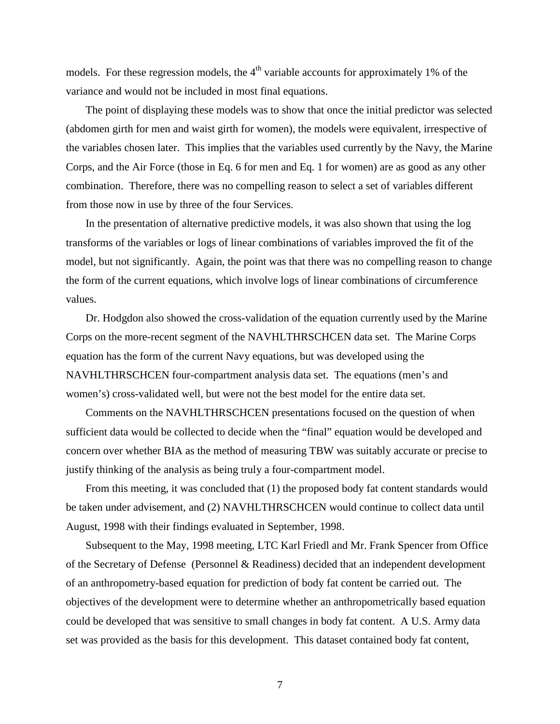models. For these regression models, the  $4<sup>th</sup>$  variable accounts for approximately 1% of the variance and would not be included in most final equations.

The point of displaying these models was to show that once the initial predictor was selected (abdomen girth for men and waist girth for women), the models were equivalent, irrespective of the variables chosen later. This implies that the variables used currently by the Navy, the Marine Corps, and the Air Force (those in Eq. 6 for men and Eq. 1 for women) are as good as any other combination. Therefore, there was no compelling reason to select a set of variables different from those now in use by three of the four Services.

In the presentation of alternative predictive models, it was also shown that using the log transforms of the variables or logs of linear combinations of variables improved the fit of the model, but not significantly. Again, the point was that there was no compelling reason to change the form of the current equations, which involve logs of linear combinations of circumference values.

Dr. Hodgdon also showed the cross-validation of the equation currently used by the Marine Corps on the more-recent segment of the NAVHLTHRSCHCEN data set. The Marine Corps equation has the form of the current Navy equations, but was developed using the NAVHLTHRSCHCEN four-compartment analysis data set. The equations (men's and women's) cross-validated well, but were not the best model for the entire data set.

Comments on the NAVHLTHRSCHCEN presentations focused on the question of when sufficient data would be collected to decide when the "final" equation would be developed and concern over whether BIA as the method of measuring TBW was suitably accurate or precise to justify thinking of the analysis as being truly a four-compartment model.

From this meeting, it was concluded that (1) the proposed body fat content standards would be taken under advisement, and (2) NAVHLTHRSCHCEN would continue to collect data until August, 1998 with their findings evaluated in September, 1998.

Subsequent to the May, 1998 meeting, LTC Karl Friedl and Mr. Frank Spencer from Office of the Secretary of Defense (Personnel & Readiness) decided that an independent development of an anthropometry-based equation for prediction of body fat content be carried out. The objectives of the development were to determine whether an anthropometrically based equation could be developed that was sensitive to small changes in body fat content. A U.S. Army data set was provided as the basis for this development. This dataset contained body fat content,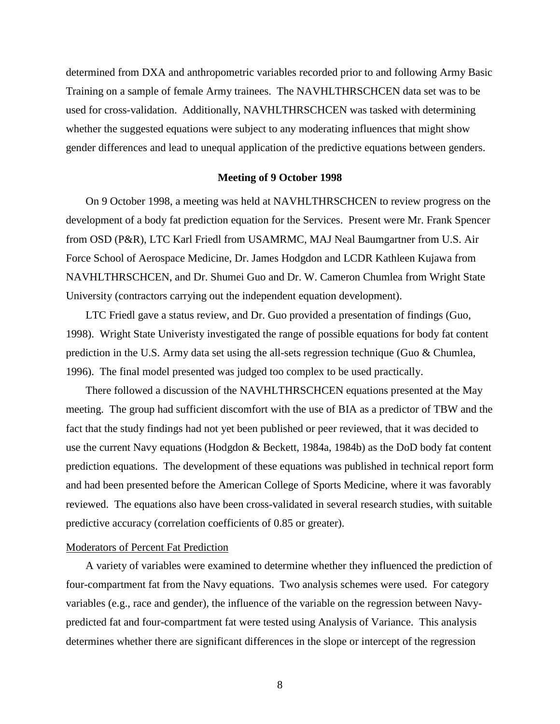determined from DXA and anthropometric variables recorded prior to and following Army Basic Training on a sample of female Army trainees. The NAVHLTHRSCHCEN data set was to be used for cross-validation. Additionally, NAVHLTHRSCHCEN was tasked with determining whether the suggested equations were subject to any moderating influences that might show gender differences and lead to unequal application of the predictive equations between genders.

### **Meeting of 9 October 1998**

On 9 October 1998, a meeting was held at NAVHLTHRSCHCEN to review progress on the development of a body fat prediction equation for the Services. Present were Mr. Frank Spencer from OSD (P&R), LTC Karl Friedl from USAMRMC, MAJ Neal Baumgartner from U.S. Air Force School of Aerospace Medicine, Dr. James Hodgdon and LCDR Kathleen Kujawa from NAVHLTHRSCHCEN, and Dr. Shumei Guo and Dr. W. Cameron Chumlea from Wright State University (contractors carrying out the independent equation development).

LTC Friedl gave a status review, and Dr. Guo provided a presentation of findings (Guo, 1998). Wright State Univeristy investigated the range of possible equations for body fat content prediction in the U.S. Army data set using the all-sets regression technique (Guo & Chumlea, 1996). The final model presented was judged too complex to be used practically.

There followed a discussion of the NAVHLTHRSCHCEN equations presented at the May meeting. The group had sufficient discomfort with the use of BIA as a predictor of TBW and the fact that the study findings had not yet been published or peer reviewed, that it was decided to use the current Navy equations (Hodgdon & Beckett, 1984a, 1984b) as the DoD body fat content prediction equations. The development of these equations was published in technical report form and had been presented before the American College of Sports Medicine, where it was favorably reviewed. The equations also have been cross-validated in several research studies, with suitable predictive accuracy (correlation coefficients of 0.85 or greater).

#### Moderators of Percent Fat Prediction

A variety of variables were examined to determine whether they influenced the prediction of four-compartment fat from the Navy equations. Two analysis schemes were used. For category variables (e.g., race and gender), the influence of the variable on the regression between Navypredicted fat and four-compartment fat were tested using Analysis of Variance. This analysis determines whether there are significant differences in the slope or intercept of the regression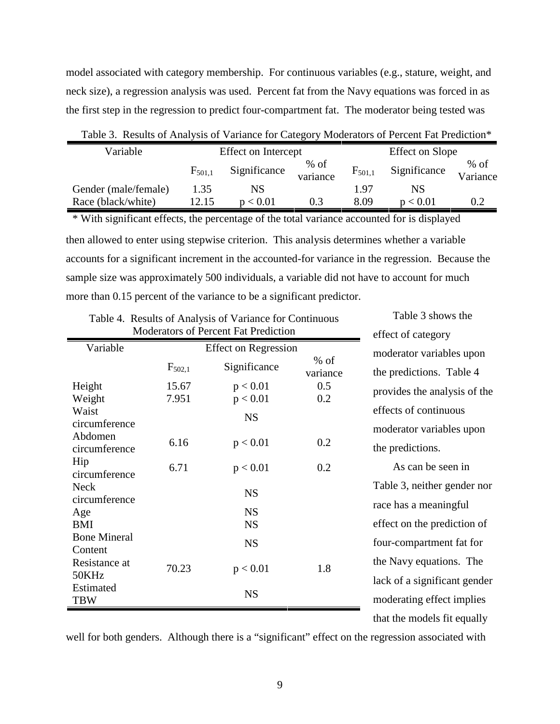model associated with category membership. For continuous variables (e.g., stature, weight, and neck size), a regression analysis was used. Percent fat from the Navy equations was forced in as the first step in the regression to predict four-compartment fat. The moderator being tested was

| Variable             |             | <b>Effect on Intercept</b> |                    |             | Effect on Slope |                    |
|----------------------|-------------|----------------------------|--------------------|-------------|-----------------|--------------------|
|                      | $F_{501.1}$ | Significance               | $%$ of<br>variance | $F_{501,1}$ | Significance    | $%$ of<br>Variance |
| Gender (male/female) | 1.35        | NS                         |                    | 1.97        | NS              |                    |
| Race (black/white)   | 12.15       | p < 0.01                   | 0.3                | 8.09        | p < 0.01        |                    |

Table 3. Results of Analysis of Variance for Category Moderators of Percent Fat Prediction\*

then allowed to enter using stepwise criterion. This analysis determines whether a variable accounts for a significant increment in the accounted-for variance in the regression. Because the sample size was approximately 500 individuals, a variable did not have to account for much more than 0.15 percent of the variance to be a significant predictor. \* With significant effects, the percentage of the total variance accounted for is displayed

Table 3 shows the

|                                   |                | Moderators of Percent Fat Prediction |                    | effect of category                                        |
|-----------------------------------|----------------|--------------------------------------|--------------------|-----------------------------------------------------------|
| Variable                          |                | <b>Effect on Regression</b>          |                    | moderator variables upon                                  |
|                                   | $F_{502,1}$    | Significance                         | $%$ of<br>variance | the predictions. Table 4                                  |
| Height<br>Weight                  | 15.67<br>7.951 | p < 0.01<br>p < 0.01                 | 0.5<br>0.2         | provides the analysis of the                              |
| Waist<br>circumference<br>Abdomen |                | <b>NS</b>                            |                    | effects of continuous<br>moderator variables upon         |
| circumference                     | 6.16           | p < 0.01                             | 0.2                | the predictions.                                          |
| Hip<br>circumference              | 6.71           | p < 0.01                             | 0.2                | As can be seen in                                         |
| <b>Neck</b><br>circumference      |                | <b>NS</b>                            |                    | Table 3, neither gender nor<br>race has a meaningful      |
| Age<br>BMI                        |                | <b>NS</b><br><b>NS</b>               |                    | effect on the prediction of                               |
| <b>Bone Mineral</b><br>Content    |                | <b>NS</b>                            |                    | four-compartment fat for                                  |
| Resistance at<br>50KHz            | 70.23          | p < 0.01                             | 1.8                | the Navy equations. The                                   |
| Estimated<br><b>TBW</b>           |                | <b>NS</b>                            |                    | lack of a significant gender<br>moderating effect implies |
|                                   |                |                                      |                    | that the models fit equally                               |

Table 4. Results of Analysis of Variance for Continuous

well for both genders. Although there is a "significant" effect on the regression associated with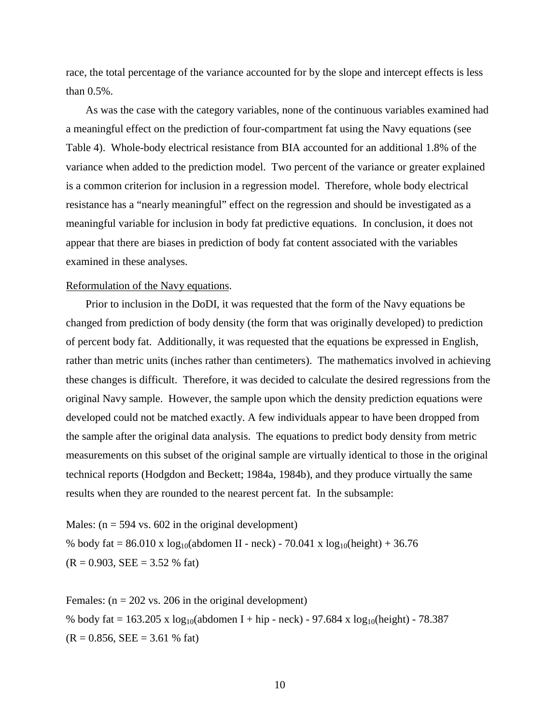race, the total percentage of the variance accounted for by the slope and intercept effects is less than 0.5%.

As was the case with the category variables, none of the continuous variables examined had a meaningful effect on the prediction of four-compartment fat using the Navy equations (see Table 4). Whole-body electrical resistance from BIA accounted for an additional 1.8% of the variance when added to the prediction model. Two percent of the variance or greater explained is a common criterion for inclusion in a regression model. Therefore, whole body electrical resistance has a "nearly meaningful" effect on the regression and should be investigated as a meaningful variable for inclusion in body fat predictive equations. In conclusion, it does not appear that there are biases in prediction of body fat content associated with the variables examined in these analyses.

#### Reformulation of the Navy equations.

Prior to inclusion in the DoDI, it was requested that the form of the Navy equations be changed from prediction of body density (the form that was originally developed) to prediction of percent body fat. Additionally, it was requested that the equations be expressed in English, rather than metric units (inches rather than centimeters). The mathematics involved in achieving these changes is difficult. Therefore, it was decided to calculate the desired regressions from the original Navy sample. However, the sample upon which the density prediction equations were developed could not be matched exactly. A few individuals appear to have been dropped from the sample after the original data analysis. The equations to predict body density from metric measurements on this subset of the original sample are virtually identical to those in the original technical reports (Hodgdon and Beckett; 1984a, 1984b), and they produce virtually the same results when they are rounded to the nearest percent fat. In the subsample:

Males:  $(n = 594 \text{ vs. } 602 \text{ in the original development})$ % body fat =  $86.010 \times \log_{10}($ abdomen II - neck) -  $70.041 \times \log_{10}($ height) + 36.76  $(R = 0.903, SEE = 3.52 %$  fat)

Females:  $(n = 202 \text{ vs. } 206 \text{ in the original development})$ % body fat = 163.205 x  $\log_{10}(\text{abdomen I} + \text{hip} - \text{neck}) - 97.684 \text{ x } \log_{10}(\text{height}) - 78.387$  $(R = 0.856, SEE = 3.61 %$  fat)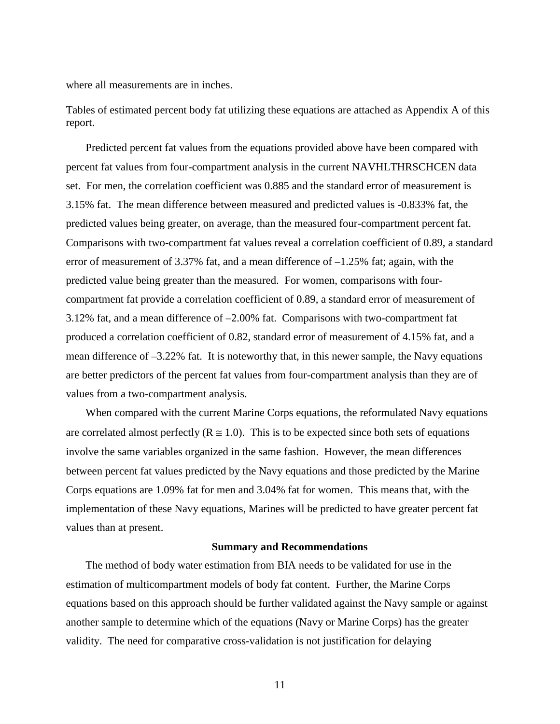where all measurements are in inches.

Tables of estimated percent body fat utilizing these equations are attached as Appendix A of this report.

Predicted percent fat values from the equations provided above have been compared with percent fat values from four-compartment analysis in the current NAVHLTHRSCHCEN data set. For men, the correlation coefficient was 0.885 and the standard error of measurement is 3.15% fat. The mean difference between measured and predicted values is -0.833% fat, the predicted values being greater, on average, than the measured four-compartment percent fat. Comparisons with two-compartment fat values reveal a correlation coefficient of 0.89, a standard error of measurement of 3.37% fat, and a mean difference of  $-1.25%$  fat; again, with the predicted value being greater than the measured. For women, comparisons with fourcompartment fat provide a correlation coefficient of 0.89, a standard error of measurement of 3.12% fat, and a mean difference of –2.00% fat. Comparisons with two-compartment fat produced a correlation coefficient of 0.82, standard error of measurement of 4.15% fat, and a mean difference of –3.22% fat. It is noteworthy that, in this newer sample, the Navy equations are better predictors of the percent fat values from four-compartment analysis than they are of values from a two-compartment analysis.

When compared with the current Marine Corps equations, the reformulated Navy equations are correlated almost perfectly ( $R \approx 1.0$ ). This is to be expected since both sets of equations involve the same variables organized in the same fashion. However, the mean differences between percent fat values predicted by the Navy equations and those predicted by the Marine Corps equations are 1.09% fat for men and 3.04% fat for women. This means that, with the implementation of these Navy equations, Marines will be predicted to have greater percent fat values than at present.

#### **Summary and Recommendations**

The method of body water estimation from BIA needs to be validated for use in the estimation of multicompartment models of body fat content. Further, the Marine Corps equations based on this approach should be further validated against the Navy sample or against another sample to determine which of the equations (Navy or Marine Corps) has the greater validity. The need for comparative cross-validation is not justification for delaying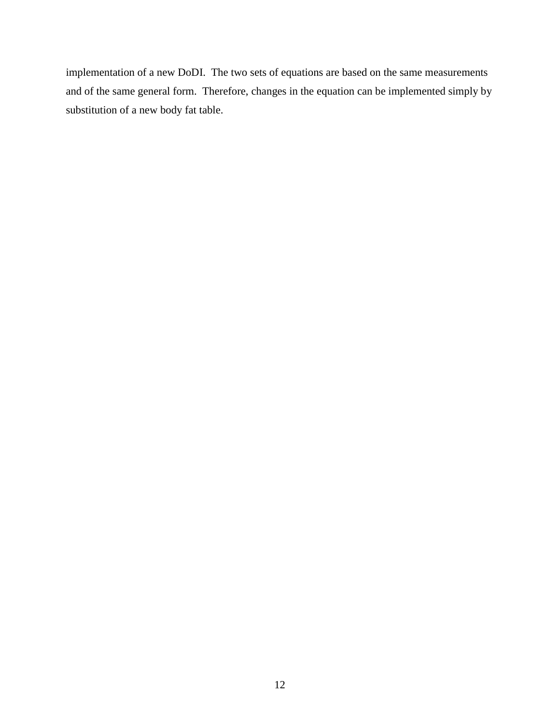implementation of a new DoDI. The two sets of equations are based on the same measurements and of the same general form. Therefore, changes in the equation can be implemented simply by substitution of a new body fat table.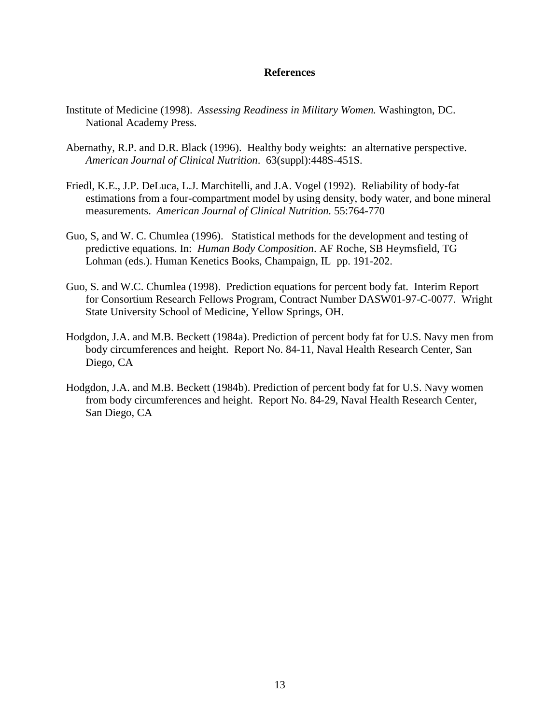#### **References**

- Institute of Medicine (1998). *Assessing Readiness in Military Women.* Washington, DC. National Academy Press.
- Abernathy, R.P. and D.R. Black (1996). Healthy body weights: an alternative perspective. *American Journal of Clinical Nutrition*. 63(suppl):448S-451S.
- Friedl, K.E., J.P. DeLuca, L.J. Marchitelli, and J.A. Vogel (1992). Reliability of body-fat estimations from a four-compartment model by using density, body water, and bone mineral measurements. *American Journal of Clinical Nutrition.* 55:764-770
- Guo, S, and W. C. Chumlea (1996). Statistical methods for the development and testing of predictive equations. In: *Human Body Composition*. AF Roche, SB Heymsfield, TG Lohman (eds.). Human Kenetics Books, Champaign, IL pp. 191-202.
- Guo, S. and W.C. Chumlea (1998). Prediction equations for percent body fat. Interim Report for Consortium Research Fellows Program, Contract Number DASW01-97-C-0077. Wright State University School of Medicine, Yellow Springs, OH.
- Hodgdon, J.A. and M.B. Beckett (1984a). Prediction of percent body fat for U.S. Navy men from body circumferences and height. Report No. 84-11, Naval Health Research Center, San Diego, CA
- Hodgdon, J.A. and M.B. Beckett (1984b). Prediction of percent body fat for U.S. Navy women from body circumferences and height. Report No. 84-29, Naval Health Research Center, San Diego, CA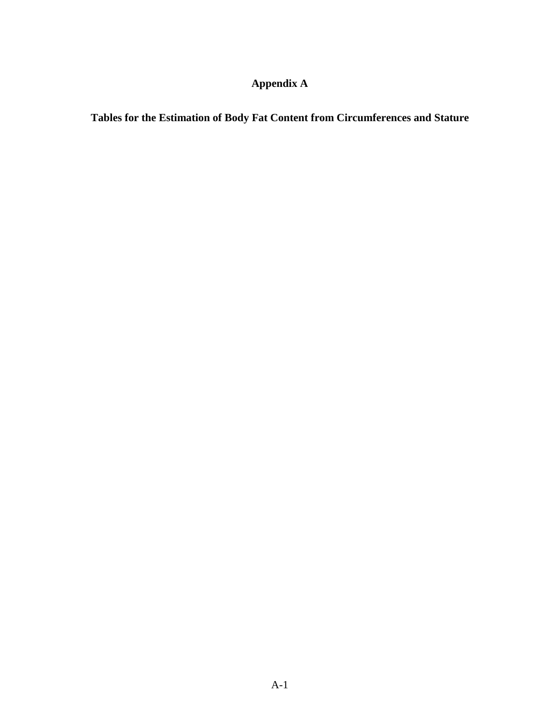## **Appendix A**

**Tables for the Estimation of Body Fat Content from Circumferences and Stature**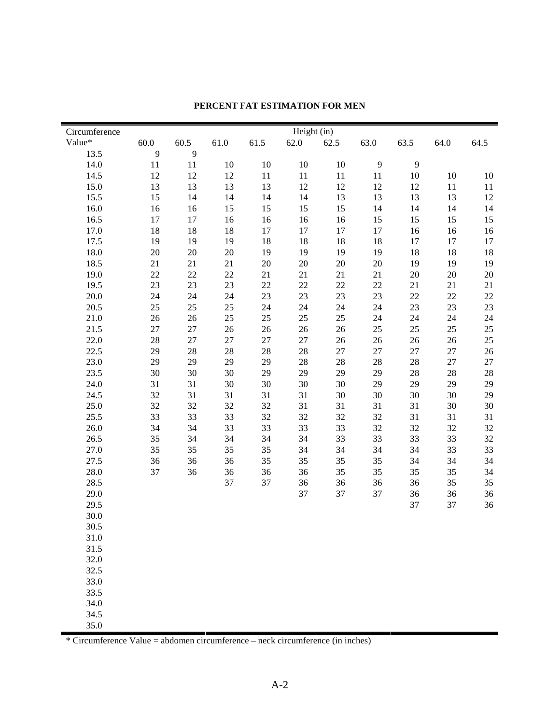| Value*<br>60.0<br>60.5<br>61.5<br>63.0<br>63.5<br>61.0<br>62.0<br>62.5<br>64.0<br>64.5<br>9<br>9<br>13.5<br>10<br>9<br>14.0<br>11<br>11<br>10<br>10<br>10<br>9<br>14.5<br>12<br>12<br>12<br>11<br>11<br>11<br>11<br>10<br>10<br>10<br>15.0<br>13<br>12<br>12<br>12<br>13<br>13<br>13<br>12<br>11<br>11<br>15.5<br>15<br>14<br>13<br>13<br>13<br>14<br>14<br>14<br>13<br>12<br>16.0<br>15<br>15<br>14<br>16<br>15<br>15<br>14<br>14<br>14<br>16<br>16.5<br>15<br>15<br>15<br>15<br>17<br>17<br>16<br>16<br>16<br>16<br>$17\,$<br>17<br>17<br>17.0<br>18<br>18<br>18<br>17<br>16<br>16<br>16<br>17.5<br>18<br>18<br>18<br>18<br>19<br>19<br>19<br>17<br>17<br>17<br>18.0<br>20<br>$20\,$<br>$20\,$<br>19<br>19<br>19<br>19<br>18<br>18<br>18<br>18.5<br>$20\,$<br>21<br>21<br>21<br>$20\,$<br>20<br>20<br>19<br>19<br>19<br>19.0<br>22<br>$22\,$<br>22<br>21<br>21<br>21<br>21<br>20<br>20<br>20<br>23<br>$22\,$<br>22<br>$22\,$<br>22<br>19.5<br>23<br>23<br>21<br>21<br>21<br>20.0<br>23<br>23<br>23<br>24<br>24<br>24<br>23<br>22<br>22<br>22<br>20.5<br>25<br>24<br>24<br>23<br>23<br>23<br>25<br>25<br>24<br>24<br>25<br>25<br>25<br>25<br>21.0<br>26<br>24<br>24<br>24<br>24<br>26<br>21.5<br>25<br>25<br>25<br>27<br>$27\,$<br>26<br>$26\,$<br>26<br>26<br>25<br>22.0<br>28<br>$27\,$<br>27<br>$27\,$<br>27<br>26<br>26<br>26<br>26<br>25<br>22.5<br>28<br>28<br>$28\,$<br>$28\,$<br>27<br>27<br>29<br>27<br>27<br>26<br>23.0<br>$28\,$<br>27<br>29<br>29<br>29<br>29<br>28<br>28<br>28<br>27<br>23.5<br>30<br>29<br>29<br>29<br>28<br>30<br>30<br>29<br>28<br>28<br>24.0<br>31<br>31<br>30<br>30<br>30<br>30<br>29<br>29<br>29<br>29<br>24.5<br>31<br>30<br>30<br>30<br>32<br>31<br>31<br>31<br>30<br>29<br>25.0<br>32<br>32<br>32<br>32<br>31<br>31<br>31<br>31<br>30<br>30<br>25.5<br>33<br>33<br>32<br>32<br>32<br>32<br>31<br>31<br>33<br>31<br>26.0<br>33<br>33<br>34<br>34<br>33<br>33<br>32<br>32<br>32<br>32<br>26.5<br>34<br>34<br>33<br>33<br>33<br>33<br>35<br>34<br>34<br>32<br>33<br>27.0<br>35<br>35<br>35<br>35<br>34<br>34<br>34<br>34<br>33<br>27.5<br>35<br>35<br>35<br>35<br>34<br>36<br>36<br>36<br>34<br>34<br>28.0<br>35<br>37<br>36<br>36<br>36<br>36<br>35<br>35<br>35<br>34<br>28.5<br>37<br>35<br>37<br>36<br>36<br>36<br>36<br>35<br>37<br>29.0<br>37<br>37<br>36<br>36<br>36<br>29.5<br>37<br>37<br>36<br>30.0<br>30.5<br>31.0<br>31.5<br>32.0<br>32.5<br>33.0<br>33.5<br>34.0<br>34.5 | Circumference |  |  | Height (in) |  |  |  |
|--------------------------------------------------------------------------------------------------------------------------------------------------------------------------------------------------------------------------------------------------------------------------------------------------------------------------------------------------------------------------------------------------------------------------------------------------------------------------------------------------------------------------------------------------------------------------------------------------------------------------------------------------------------------------------------------------------------------------------------------------------------------------------------------------------------------------------------------------------------------------------------------------------------------------------------------------------------------------------------------------------------------------------------------------------------------------------------------------------------------------------------------------------------------------------------------------------------------------------------------------------------------------------------------------------------------------------------------------------------------------------------------------------------------------------------------------------------------------------------------------------------------------------------------------------------------------------------------------------------------------------------------------------------------------------------------------------------------------------------------------------------------------------------------------------------------------------------------------------------------------------------------------------------------------------------------------------------------------------------------------------------------------------------------------------------------------------------------------------------------------------------------------------------------------------------------------------------------------------------------------------------------------------------------------------------------------------------------------------------------------------------------------------------------------|---------------|--|--|-------------|--|--|--|
|                                                                                                                                                                                                                                                                                                                                                                                                                                                                                                                                                                                                                                                                                                                                                                                                                                                                                                                                                                                                                                                                                                                                                                                                                                                                                                                                                                                                                                                                                                                                                                                                                                                                                                                                                                                                                                                                                                                                                                                                                                                                                                                                                                                                                                                                                                                                                                                                                          |               |  |  |             |  |  |  |
|                                                                                                                                                                                                                                                                                                                                                                                                                                                                                                                                                                                                                                                                                                                                                                                                                                                                                                                                                                                                                                                                                                                                                                                                                                                                                                                                                                                                                                                                                                                                                                                                                                                                                                                                                                                                                                                                                                                                                                                                                                                                                                                                                                                                                                                                                                                                                                                                                          |               |  |  |             |  |  |  |
|                                                                                                                                                                                                                                                                                                                                                                                                                                                                                                                                                                                                                                                                                                                                                                                                                                                                                                                                                                                                                                                                                                                                                                                                                                                                                                                                                                                                                                                                                                                                                                                                                                                                                                                                                                                                                                                                                                                                                                                                                                                                                                                                                                                                                                                                                                                                                                                                                          |               |  |  |             |  |  |  |
|                                                                                                                                                                                                                                                                                                                                                                                                                                                                                                                                                                                                                                                                                                                                                                                                                                                                                                                                                                                                                                                                                                                                                                                                                                                                                                                                                                                                                                                                                                                                                                                                                                                                                                                                                                                                                                                                                                                                                                                                                                                                                                                                                                                                                                                                                                                                                                                                                          |               |  |  |             |  |  |  |
|                                                                                                                                                                                                                                                                                                                                                                                                                                                                                                                                                                                                                                                                                                                                                                                                                                                                                                                                                                                                                                                                                                                                                                                                                                                                                                                                                                                                                                                                                                                                                                                                                                                                                                                                                                                                                                                                                                                                                                                                                                                                                                                                                                                                                                                                                                                                                                                                                          |               |  |  |             |  |  |  |
|                                                                                                                                                                                                                                                                                                                                                                                                                                                                                                                                                                                                                                                                                                                                                                                                                                                                                                                                                                                                                                                                                                                                                                                                                                                                                                                                                                                                                                                                                                                                                                                                                                                                                                                                                                                                                                                                                                                                                                                                                                                                                                                                                                                                                                                                                                                                                                                                                          |               |  |  |             |  |  |  |
|                                                                                                                                                                                                                                                                                                                                                                                                                                                                                                                                                                                                                                                                                                                                                                                                                                                                                                                                                                                                                                                                                                                                                                                                                                                                                                                                                                                                                                                                                                                                                                                                                                                                                                                                                                                                                                                                                                                                                                                                                                                                                                                                                                                                                                                                                                                                                                                                                          |               |  |  |             |  |  |  |
|                                                                                                                                                                                                                                                                                                                                                                                                                                                                                                                                                                                                                                                                                                                                                                                                                                                                                                                                                                                                                                                                                                                                                                                                                                                                                                                                                                                                                                                                                                                                                                                                                                                                                                                                                                                                                                                                                                                                                                                                                                                                                                                                                                                                                                                                                                                                                                                                                          |               |  |  |             |  |  |  |
|                                                                                                                                                                                                                                                                                                                                                                                                                                                                                                                                                                                                                                                                                                                                                                                                                                                                                                                                                                                                                                                                                                                                                                                                                                                                                                                                                                                                                                                                                                                                                                                                                                                                                                                                                                                                                                                                                                                                                                                                                                                                                                                                                                                                                                                                                                                                                                                                                          |               |  |  |             |  |  |  |
|                                                                                                                                                                                                                                                                                                                                                                                                                                                                                                                                                                                                                                                                                                                                                                                                                                                                                                                                                                                                                                                                                                                                                                                                                                                                                                                                                                                                                                                                                                                                                                                                                                                                                                                                                                                                                                                                                                                                                                                                                                                                                                                                                                                                                                                                                                                                                                                                                          |               |  |  |             |  |  |  |
|                                                                                                                                                                                                                                                                                                                                                                                                                                                                                                                                                                                                                                                                                                                                                                                                                                                                                                                                                                                                                                                                                                                                                                                                                                                                                                                                                                                                                                                                                                                                                                                                                                                                                                                                                                                                                                                                                                                                                                                                                                                                                                                                                                                                                                                                                                                                                                                                                          |               |  |  |             |  |  |  |
|                                                                                                                                                                                                                                                                                                                                                                                                                                                                                                                                                                                                                                                                                                                                                                                                                                                                                                                                                                                                                                                                                                                                                                                                                                                                                                                                                                                                                                                                                                                                                                                                                                                                                                                                                                                                                                                                                                                                                                                                                                                                                                                                                                                                                                                                                                                                                                                                                          |               |  |  |             |  |  |  |
|                                                                                                                                                                                                                                                                                                                                                                                                                                                                                                                                                                                                                                                                                                                                                                                                                                                                                                                                                                                                                                                                                                                                                                                                                                                                                                                                                                                                                                                                                                                                                                                                                                                                                                                                                                                                                                                                                                                                                                                                                                                                                                                                                                                                                                                                                                                                                                                                                          |               |  |  |             |  |  |  |
|                                                                                                                                                                                                                                                                                                                                                                                                                                                                                                                                                                                                                                                                                                                                                                                                                                                                                                                                                                                                                                                                                                                                                                                                                                                                                                                                                                                                                                                                                                                                                                                                                                                                                                                                                                                                                                                                                                                                                                                                                                                                                                                                                                                                                                                                                                                                                                                                                          |               |  |  |             |  |  |  |
|                                                                                                                                                                                                                                                                                                                                                                                                                                                                                                                                                                                                                                                                                                                                                                                                                                                                                                                                                                                                                                                                                                                                                                                                                                                                                                                                                                                                                                                                                                                                                                                                                                                                                                                                                                                                                                                                                                                                                                                                                                                                                                                                                                                                                                                                                                                                                                                                                          |               |  |  |             |  |  |  |
|                                                                                                                                                                                                                                                                                                                                                                                                                                                                                                                                                                                                                                                                                                                                                                                                                                                                                                                                                                                                                                                                                                                                                                                                                                                                                                                                                                                                                                                                                                                                                                                                                                                                                                                                                                                                                                                                                                                                                                                                                                                                                                                                                                                                                                                                                                                                                                                                                          |               |  |  |             |  |  |  |
|                                                                                                                                                                                                                                                                                                                                                                                                                                                                                                                                                                                                                                                                                                                                                                                                                                                                                                                                                                                                                                                                                                                                                                                                                                                                                                                                                                                                                                                                                                                                                                                                                                                                                                                                                                                                                                                                                                                                                                                                                                                                                                                                                                                                                                                                                                                                                                                                                          |               |  |  |             |  |  |  |
|                                                                                                                                                                                                                                                                                                                                                                                                                                                                                                                                                                                                                                                                                                                                                                                                                                                                                                                                                                                                                                                                                                                                                                                                                                                                                                                                                                                                                                                                                                                                                                                                                                                                                                                                                                                                                                                                                                                                                                                                                                                                                                                                                                                                                                                                                                                                                                                                                          |               |  |  |             |  |  |  |
|                                                                                                                                                                                                                                                                                                                                                                                                                                                                                                                                                                                                                                                                                                                                                                                                                                                                                                                                                                                                                                                                                                                                                                                                                                                                                                                                                                                                                                                                                                                                                                                                                                                                                                                                                                                                                                                                                                                                                                                                                                                                                                                                                                                                                                                                                                                                                                                                                          |               |  |  |             |  |  |  |
|                                                                                                                                                                                                                                                                                                                                                                                                                                                                                                                                                                                                                                                                                                                                                                                                                                                                                                                                                                                                                                                                                                                                                                                                                                                                                                                                                                                                                                                                                                                                                                                                                                                                                                                                                                                                                                                                                                                                                                                                                                                                                                                                                                                                                                                                                                                                                                                                                          |               |  |  |             |  |  |  |
|                                                                                                                                                                                                                                                                                                                                                                                                                                                                                                                                                                                                                                                                                                                                                                                                                                                                                                                                                                                                                                                                                                                                                                                                                                                                                                                                                                                                                                                                                                                                                                                                                                                                                                                                                                                                                                                                                                                                                                                                                                                                                                                                                                                                                                                                                                                                                                                                                          |               |  |  |             |  |  |  |
|                                                                                                                                                                                                                                                                                                                                                                                                                                                                                                                                                                                                                                                                                                                                                                                                                                                                                                                                                                                                                                                                                                                                                                                                                                                                                                                                                                                                                                                                                                                                                                                                                                                                                                                                                                                                                                                                                                                                                                                                                                                                                                                                                                                                                                                                                                                                                                                                                          |               |  |  |             |  |  |  |
|                                                                                                                                                                                                                                                                                                                                                                                                                                                                                                                                                                                                                                                                                                                                                                                                                                                                                                                                                                                                                                                                                                                                                                                                                                                                                                                                                                                                                                                                                                                                                                                                                                                                                                                                                                                                                                                                                                                                                                                                                                                                                                                                                                                                                                                                                                                                                                                                                          |               |  |  |             |  |  |  |
|                                                                                                                                                                                                                                                                                                                                                                                                                                                                                                                                                                                                                                                                                                                                                                                                                                                                                                                                                                                                                                                                                                                                                                                                                                                                                                                                                                                                                                                                                                                                                                                                                                                                                                                                                                                                                                                                                                                                                                                                                                                                                                                                                                                                                                                                                                                                                                                                                          |               |  |  |             |  |  |  |
|                                                                                                                                                                                                                                                                                                                                                                                                                                                                                                                                                                                                                                                                                                                                                                                                                                                                                                                                                                                                                                                                                                                                                                                                                                                                                                                                                                                                                                                                                                                                                                                                                                                                                                                                                                                                                                                                                                                                                                                                                                                                                                                                                                                                                                                                                                                                                                                                                          |               |  |  |             |  |  |  |
|                                                                                                                                                                                                                                                                                                                                                                                                                                                                                                                                                                                                                                                                                                                                                                                                                                                                                                                                                                                                                                                                                                                                                                                                                                                                                                                                                                                                                                                                                                                                                                                                                                                                                                                                                                                                                                                                                                                                                                                                                                                                                                                                                                                                                                                                                                                                                                                                                          |               |  |  |             |  |  |  |
|                                                                                                                                                                                                                                                                                                                                                                                                                                                                                                                                                                                                                                                                                                                                                                                                                                                                                                                                                                                                                                                                                                                                                                                                                                                                                                                                                                                                                                                                                                                                                                                                                                                                                                                                                                                                                                                                                                                                                                                                                                                                                                                                                                                                                                                                                                                                                                                                                          |               |  |  |             |  |  |  |
|                                                                                                                                                                                                                                                                                                                                                                                                                                                                                                                                                                                                                                                                                                                                                                                                                                                                                                                                                                                                                                                                                                                                                                                                                                                                                                                                                                                                                                                                                                                                                                                                                                                                                                                                                                                                                                                                                                                                                                                                                                                                                                                                                                                                                                                                                                                                                                                                                          |               |  |  |             |  |  |  |
|                                                                                                                                                                                                                                                                                                                                                                                                                                                                                                                                                                                                                                                                                                                                                                                                                                                                                                                                                                                                                                                                                                                                                                                                                                                                                                                                                                                                                                                                                                                                                                                                                                                                                                                                                                                                                                                                                                                                                                                                                                                                                                                                                                                                                                                                                                                                                                                                                          |               |  |  |             |  |  |  |
|                                                                                                                                                                                                                                                                                                                                                                                                                                                                                                                                                                                                                                                                                                                                                                                                                                                                                                                                                                                                                                                                                                                                                                                                                                                                                                                                                                                                                                                                                                                                                                                                                                                                                                                                                                                                                                                                                                                                                                                                                                                                                                                                                                                                                                                                                                                                                                                                                          |               |  |  |             |  |  |  |
|                                                                                                                                                                                                                                                                                                                                                                                                                                                                                                                                                                                                                                                                                                                                                                                                                                                                                                                                                                                                                                                                                                                                                                                                                                                                                                                                                                                                                                                                                                                                                                                                                                                                                                                                                                                                                                                                                                                                                                                                                                                                                                                                                                                                                                                                                                                                                                                                                          |               |  |  |             |  |  |  |
|                                                                                                                                                                                                                                                                                                                                                                                                                                                                                                                                                                                                                                                                                                                                                                                                                                                                                                                                                                                                                                                                                                                                                                                                                                                                                                                                                                                                                                                                                                                                                                                                                                                                                                                                                                                                                                                                                                                                                                                                                                                                                                                                                                                                                                                                                                                                                                                                                          |               |  |  |             |  |  |  |
|                                                                                                                                                                                                                                                                                                                                                                                                                                                                                                                                                                                                                                                                                                                                                                                                                                                                                                                                                                                                                                                                                                                                                                                                                                                                                                                                                                                                                                                                                                                                                                                                                                                                                                                                                                                                                                                                                                                                                                                                                                                                                                                                                                                                                                                                                                                                                                                                                          |               |  |  |             |  |  |  |
|                                                                                                                                                                                                                                                                                                                                                                                                                                                                                                                                                                                                                                                                                                                                                                                                                                                                                                                                                                                                                                                                                                                                                                                                                                                                                                                                                                                                                                                                                                                                                                                                                                                                                                                                                                                                                                                                                                                                                                                                                                                                                                                                                                                                                                                                                                                                                                                                                          |               |  |  |             |  |  |  |
|                                                                                                                                                                                                                                                                                                                                                                                                                                                                                                                                                                                                                                                                                                                                                                                                                                                                                                                                                                                                                                                                                                                                                                                                                                                                                                                                                                                                                                                                                                                                                                                                                                                                                                                                                                                                                                                                                                                                                                                                                                                                                                                                                                                                                                                                                                                                                                                                                          |               |  |  |             |  |  |  |
|                                                                                                                                                                                                                                                                                                                                                                                                                                                                                                                                                                                                                                                                                                                                                                                                                                                                                                                                                                                                                                                                                                                                                                                                                                                                                                                                                                                                                                                                                                                                                                                                                                                                                                                                                                                                                                                                                                                                                                                                                                                                                                                                                                                                                                                                                                                                                                                                                          |               |  |  |             |  |  |  |
|                                                                                                                                                                                                                                                                                                                                                                                                                                                                                                                                                                                                                                                                                                                                                                                                                                                                                                                                                                                                                                                                                                                                                                                                                                                                                                                                                                                                                                                                                                                                                                                                                                                                                                                                                                                                                                                                                                                                                                                                                                                                                                                                                                                                                                                                                                                                                                                                                          |               |  |  |             |  |  |  |
|                                                                                                                                                                                                                                                                                                                                                                                                                                                                                                                                                                                                                                                                                                                                                                                                                                                                                                                                                                                                                                                                                                                                                                                                                                                                                                                                                                                                                                                                                                                                                                                                                                                                                                                                                                                                                                                                                                                                                                                                                                                                                                                                                                                                                                                                                                                                                                                                                          |               |  |  |             |  |  |  |
|                                                                                                                                                                                                                                                                                                                                                                                                                                                                                                                                                                                                                                                                                                                                                                                                                                                                                                                                                                                                                                                                                                                                                                                                                                                                                                                                                                                                                                                                                                                                                                                                                                                                                                                                                                                                                                                                                                                                                                                                                                                                                                                                                                                                                                                                                                                                                                                                                          |               |  |  |             |  |  |  |
|                                                                                                                                                                                                                                                                                                                                                                                                                                                                                                                                                                                                                                                                                                                                                                                                                                                                                                                                                                                                                                                                                                                                                                                                                                                                                                                                                                                                                                                                                                                                                                                                                                                                                                                                                                                                                                                                                                                                                                                                                                                                                                                                                                                                                                                                                                                                                                                                                          |               |  |  |             |  |  |  |
|                                                                                                                                                                                                                                                                                                                                                                                                                                                                                                                                                                                                                                                                                                                                                                                                                                                                                                                                                                                                                                                                                                                                                                                                                                                                                                                                                                                                                                                                                                                                                                                                                                                                                                                                                                                                                                                                                                                                                                                                                                                                                                                                                                                                                                                                                                                                                                                                                          |               |  |  |             |  |  |  |
|                                                                                                                                                                                                                                                                                                                                                                                                                                                                                                                                                                                                                                                                                                                                                                                                                                                                                                                                                                                                                                                                                                                                                                                                                                                                                                                                                                                                                                                                                                                                                                                                                                                                                                                                                                                                                                                                                                                                                                                                                                                                                                                                                                                                                                                                                                                                                                                                                          |               |  |  |             |  |  |  |
|                                                                                                                                                                                                                                                                                                                                                                                                                                                                                                                                                                                                                                                                                                                                                                                                                                                                                                                                                                                                                                                                                                                                                                                                                                                                                                                                                                                                                                                                                                                                                                                                                                                                                                                                                                                                                                                                                                                                                                                                                                                                                                                                                                                                                                                                                                                                                                                                                          |               |  |  |             |  |  |  |
|                                                                                                                                                                                                                                                                                                                                                                                                                                                                                                                                                                                                                                                                                                                                                                                                                                                                                                                                                                                                                                                                                                                                                                                                                                                                                                                                                                                                                                                                                                                                                                                                                                                                                                                                                                                                                                                                                                                                                                                                                                                                                                                                                                                                                                                                                                                                                                                                                          |               |  |  |             |  |  |  |
|                                                                                                                                                                                                                                                                                                                                                                                                                                                                                                                                                                                                                                                                                                                                                                                                                                                                                                                                                                                                                                                                                                                                                                                                                                                                                                                                                                                                                                                                                                                                                                                                                                                                                                                                                                                                                                                                                                                                                                                                                                                                                                                                                                                                                                                                                                                                                                                                                          | 35.0          |  |  |             |  |  |  |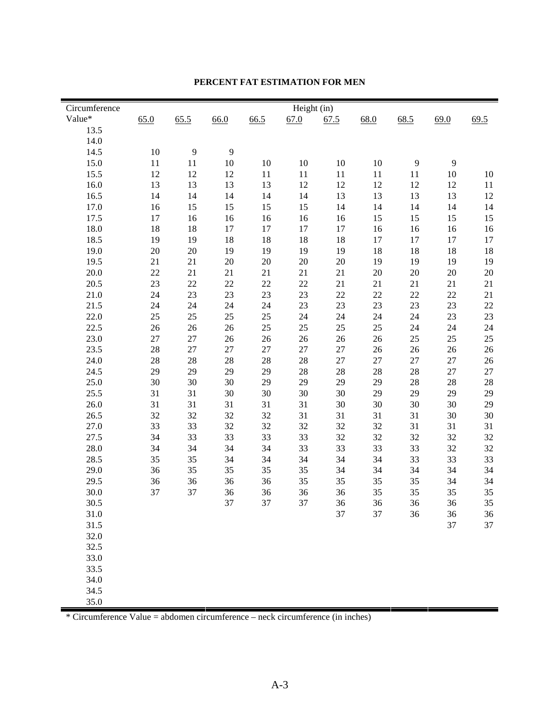| Value*<br>65.0<br>66.0<br>66.5<br>67.0<br>68.0<br>68.5<br>69.5<br>65.5<br>67.5<br>69.0<br>13.5<br>14.0<br>14.5<br>10<br>9<br>9<br>11<br>10<br>10<br>9<br>15.0<br>11<br>10<br>10<br>10<br>9<br>12<br>15.5<br>12<br>12<br>11<br>11<br>11<br>11<br>11<br>10<br>10<br>16.0<br>13<br>12<br>12<br>13<br>13<br>13<br>12<br>12<br>12<br>11<br>13<br>13<br>16.5<br>14<br>14<br>14<br>14<br>14<br>13<br>13<br>12<br>17.0<br>16<br>15<br>15<br>15<br>15<br>14<br>14<br>14<br>14<br>14<br>17.5<br>17<br>16<br>16<br>16<br>16<br>16<br>15<br>15<br>15<br>15<br>18.0<br>18<br>18<br>17<br>17<br>17<br>17<br>16<br>16<br>16<br>16<br>19<br>18<br>18<br>18.5<br>19<br>18<br>18<br>17<br>17<br>17<br>17<br>20<br>19.0<br>20<br>19<br>19<br>19<br>19<br>18<br>18<br>18<br>18<br>19.5<br>21<br>21<br>20<br>20<br>$20\,$<br>20<br>19<br>19<br>19<br>19<br>20.0<br>22<br>21<br>20<br>20<br>$20\,$<br>21<br>21<br>21<br>21<br>20<br>23<br>22<br>$22\,$<br>$22\,$<br>20.5<br>22<br>21<br>21<br>21<br>21<br>21<br>24<br>23<br>23<br>23<br>23<br>22<br>22<br>22<br>22<br>21<br>21.0<br>23<br>23<br>23<br>23<br>21.5<br>24<br>24<br>24<br>24<br>23<br>22<br>25<br>24<br>24<br>23<br>23<br>22.0<br>25<br>25<br>25<br>24<br>24<br>25<br>$25\,$<br>22.5<br>26<br>26<br>26<br>25<br>25<br>24<br>24<br>24<br>23.0<br>27<br>27<br>26<br>26<br>$26\,$<br>26<br>26<br>25<br>25<br>25<br>23.5<br>28<br>27<br>27<br>27<br>27<br>27<br>26<br>26<br>$26\,$<br>26<br>28<br>28<br>28<br>27<br>24.0<br>28<br>28<br>27<br>27<br>27<br>26<br>29<br>29<br>29<br>28<br>28<br>28<br>28<br>27<br>24.5<br>29<br>27<br>30<br>29<br>29<br>25.0<br>30<br>30<br>29<br>29<br>28<br>28<br>28<br>31<br>30<br>30<br>29<br>29<br>29<br>25.5<br>31<br>30<br>30<br>29<br>30<br>30<br>26.0<br>31<br>31<br>31<br>31<br>31<br>30<br>30<br>29<br>32<br>32<br>31<br>26.5<br>32<br>32<br>31<br>31<br>31<br>30<br>30<br>33<br>32<br>32<br>32<br>32<br>31<br>27.0<br>33<br>32<br>31<br>31<br>33<br>33<br>33<br>27.5<br>34<br>33<br>32<br>32<br>32<br>32<br>32<br>33<br>34<br>33<br>33<br>33<br>32<br>32<br>28.0<br>34<br>34<br>34<br>35<br>34<br>33<br>28.5<br>35<br>34<br>34<br>34<br>34<br>33<br>33<br>36<br>35<br>34<br>29.0<br>35<br>35<br>35<br>34<br>34<br>34<br>34<br>35<br>29.5<br>36<br>36<br>36<br>36<br>35<br>35<br>35<br>34<br>34<br>30.0<br>36<br>36<br>36<br>36<br>35<br>35<br>35<br>35<br>37<br>37<br>30.5<br>37<br>37<br>37<br>35<br>36<br>36<br>36<br>36<br>37<br>37<br>36<br>31.0<br>36<br>36<br>37<br>31.5<br>37<br>32.0<br>32.5<br>33.0<br>33.5<br>34.0<br>34.5 | Circumference |  |  | Height (in) |  |  |  |
|------------------------------------------------------------------------------------------------------------------------------------------------------------------------------------------------------------------------------------------------------------------------------------------------------------------------------------------------------------------------------------------------------------------------------------------------------------------------------------------------------------------------------------------------------------------------------------------------------------------------------------------------------------------------------------------------------------------------------------------------------------------------------------------------------------------------------------------------------------------------------------------------------------------------------------------------------------------------------------------------------------------------------------------------------------------------------------------------------------------------------------------------------------------------------------------------------------------------------------------------------------------------------------------------------------------------------------------------------------------------------------------------------------------------------------------------------------------------------------------------------------------------------------------------------------------------------------------------------------------------------------------------------------------------------------------------------------------------------------------------------------------------------------------------------------------------------------------------------------------------------------------------------------------------------------------------------------------------------------------------------------------------------------------------------------------------------------------------------------------------------------------------------------------------------------------------------------------------------------------------------------------------------------------------------------------------------------------------------------------------------------------------------------------------------------------------------------------------------------------------------------------|---------------|--|--|-------------|--|--|--|
|                                                                                                                                                                                                                                                                                                                                                                                                                                                                                                                                                                                                                                                                                                                                                                                                                                                                                                                                                                                                                                                                                                                                                                                                                                                                                                                                                                                                                                                                                                                                                                                                                                                                                                                                                                                                                                                                                                                                                                                                                                                                                                                                                                                                                                                                                                                                                                                                                                                                                                                  |               |  |  |             |  |  |  |
|                                                                                                                                                                                                                                                                                                                                                                                                                                                                                                                                                                                                                                                                                                                                                                                                                                                                                                                                                                                                                                                                                                                                                                                                                                                                                                                                                                                                                                                                                                                                                                                                                                                                                                                                                                                                                                                                                                                                                                                                                                                                                                                                                                                                                                                                                                                                                                                                                                                                                                                  |               |  |  |             |  |  |  |
|                                                                                                                                                                                                                                                                                                                                                                                                                                                                                                                                                                                                                                                                                                                                                                                                                                                                                                                                                                                                                                                                                                                                                                                                                                                                                                                                                                                                                                                                                                                                                                                                                                                                                                                                                                                                                                                                                                                                                                                                                                                                                                                                                                                                                                                                                                                                                                                                                                                                                                                  |               |  |  |             |  |  |  |
|                                                                                                                                                                                                                                                                                                                                                                                                                                                                                                                                                                                                                                                                                                                                                                                                                                                                                                                                                                                                                                                                                                                                                                                                                                                                                                                                                                                                                                                                                                                                                                                                                                                                                                                                                                                                                                                                                                                                                                                                                                                                                                                                                                                                                                                                                                                                                                                                                                                                                                                  |               |  |  |             |  |  |  |
|                                                                                                                                                                                                                                                                                                                                                                                                                                                                                                                                                                                                                                                                                                                                                                                                                                                                                                                                                                                                                                                                                                                                                                                                                                                                                                                                                                                                                                                                                                                                                                                                                                                                                                                                                                                                                                                                                                                                                                                                                                                                                                                                                                                                                                                                                                                                                                                                                                                                                                                  |               |  |  |             |  |  |  |
|                                                                                                                                                                                                                                                                                                                                                                                                                                                                                                                                                                                                                                                                                                                                                                                                                                                                                                                                                                                                                                                                                                                                                                                                                                                                                                                                                                                                                                                                                                                                                                                                                                                                                                                                                                                                                                                                                                                                                                                                                                                                                                                                                                                                                                                                                                                                                                                                                                                                                                                  |               |  |  |             |  |  |  |
|                                                                                                                                                                                                                                                                                                                                                                                                                                                                                                                                                                                                                                                                                                                                                                                                                                                                                                                                                                                                                                                                                                                                                                                                                                                                                                                                                                                                                                                                                                                                                                                                                                                                                                                                                                                                                                                                                                                                                                                                                                                                                                                                                                                                                                                                                                                                                                                                                                                                                                                  |               |  |  |             |  |  |  |
|                                                                                                                                                                                                                                                                                                                                                                                                                                                                                                                                                                                                                                                                                                                                                                                                                                                                                                                                                                                                                                                                                                                                                                                                                                                                                                                                                                                                                                                                                                                                                                                                                                                                                                                                                                                                                                                                                                                                                                                                                                                                                                                                                                                                                                                                                                                                                                                                                                                                                                                  |               |  |  |             |  |  |  |
|                                                                                                                                                                                                                                                                                                                                                                                                                                                                                                                                                                                                                                                                                                                                                                                                                                                                                                                                                                                                                                                                                                                                                                                                                                                                                                                                                                                                                                                                                                                                                                                                                                                                                                                                                                                                                                                                                                                                                                                                                                                                                                                                                                                                                                                                                                                                                                                                                                                                                                                  |               |  |  |             |  |  |  |
|                                                                                                                                                                                                                                                                                                                                                                                                                                                                                                                                                                                                                                                                                                                                                                                                                                                                                                                                                                                                                                                                                                                                                                                                                                                                                                                                                                                                                                                                                                                                                                                                                                                                                                                                                                                                                                                                                                                                                                                                                                                                                                                                                                                                                                                                                                                                                                                                                                                                                                                  |               |  |  |             |  |  |  |
|                                                                                                                                                                                                                                                                                                                                                                                                                                                                                                                                                                                                                                                                                                                                                                                                                                                                                                                                                                                                                                                                                                                                                                                                                                                                                                                                                                                                                                                                                                                                                                                                                                                                                                                                                                                                                                                                                                                                                                                                                                                                                                                                                                                                                                                                                                                                                                                                                                                                                                                  |               |  |  |             |  |  |  |
|                                                                                                                                                                                                                                                                                                                                                                                                                                                                                                                                                                                                                                                                                                                                                                                                                                                                                                                                                                                                                                                                                                                                                                                                                                                                                                                                                                                                                                                                                                                                                                                                                                                                                                                                                                                                                                                                                                                                                                                                                                                                                                                                                                                                                                                                                                                                                                                                                                                                                                                  |               |  |  |             |  |  |  |
|                                                                                                                                                                                                                                                                                                                                                                                                                                                                                                                                                                                                                                                                                                                                                                                                                                                                                                                                                                                                                                                                                                                                                                                                                                                                                                                                                                                                                                                                                                                                                                                                                                                                                                                                                                                                                                                                                                                                                                                                                                                                                                                                                                                                                                                                                                                                                                                                                                                                                                                  |               |  |  |             |  |  |  |
|                                                                                                                                                                                                                                                                                                                                                                                                                                                                                                                                                                                                                                                                                                                                                                                                                                                                                                                                                                                                                                                                                                                                                                                                                                                                                                                                                                                                                                                                                                                                                                                                                                                                                                                                                                                                                                                                                                                                                                                                                                                                                                                                                                                                                                                                                                                                                                                                                                                                                                                  |               |  |  |             |  |  |  |
|                                                                                                                                                                                                                                                                                                                                                                                                                                                                                                                                                                                                                                                                                                                                                                                                                                                                                                                                                                                                                                                                                                                                                                                                                                                                                                                                                                                                                                                                                                                                                                                                                                                                                                                                                                                                                                                                                                                                                                                                                                                                                                                                                                                                                                                                                                                                                                                                                                                                                                                  |               |  |  |             |  |  |  |
|                                                                                                                                                                                                                                                                                                                                                                                                                                                                                                                                                                                                                                                                                                                                                                                                                                                                                                                                                                                                                                                                                                                                                                                                                                                                                                                                                                                                                                                                                                                                                                                                                                                                                                                                                                                                                                                                                                                                                                                                                                                                                                                                                                                                                                                                                                                                                                                                                                                                                                                  |               |  |  |             |  |  |  |
|                                                                                                                                                                                                                                                                                                                                                                                                                                                                                                                                                                                                                                                                                                                                                                                                                                                                                                                                                                                                                                                                                                                                                                                                                                                                                                                                                                                                                                                                                                                                                                                                                                                                                                                                                                                                                                                                                                                                                                                                                                                                                                                                                                                                                                                                                                                                                                                                                                                                                                                  |               |  |  |             |  |  |  |
|                                                                                                                                                                                                                                                                                                                                                                                                                                                                                                                                                                                                                                                                                                                                                                                                                                                                                                                                                                                                                                                                                                                                                                                                                                                                                                                                                                                                                                                                                                                                                                                                                                                                                                                                                                                                                                                                                                                                                                                                                                                                                                                                                                                                                                                                                                                                                                                                                                                                                                                  |               |  |  |             |  |  |  |
|                                                                                                                                                                                                                                                                                                                                                                                                                                                                                                                                                                                                                                                                                                                                                                                                                                                                                                                                                                                                                                                                                                                                                                                                                                                                                                                                                                                                                                                                                                                                                                                                                                                                                                                                                                                                                                                                                                                                                                                                                                                                                                                                                                                                                                                                                                                                                                                                                                                                                                                  |               |  |  |             |  |  |  |
|                                                                                                                                                                                                                                                                                                                                                                                                                                                                                                                                                                                                                                                                                                                                                                                                                                                                                                                                                                                                                                                                                                                                                                                                                                                                                                                                                                                                                                                                                                                                                                                                                                                                                                                                                                                                                                                                                                                                                                                                                                                                                                                                                                                                                                                                                                                                                                                                                                                                                                                  |               |  |  |             |  |  |  |
|                                                                                                                                                                                                                                                                                                                                                                                                                                                                                                                                                                                                                                                                                                                                                                                                                                                                                                                                                                                                                                                                                                                                                                                                                                                                                                                                                                                                                                                                                                                                                                                                                                                                                                                                                                                                                                                                                                                                                                                                                                                                                                                                                                                                                                                                                                                                                                                                                                                                                                                  |               |  |  |             |  |  |  |
|                                                                                                                                                                                                                                                                                                                                                                                                                                                                                                                                                                                                                                                                                                                                                                                                                                                                                                                                                                                                                                                                                                                                                                                                                                                                                                                                                                                                                                                                                                                                                                                                                                                                                                                                                                                                                                                                                                                                                                                                                                                                                                                                                                                                                                                                                                                                                                                                                                                                                                                  |               |  |  |             |  |  |  |
|                                                                                                                                                                                                                                                                                                                                                                                                                                                                                                                                                                                                                                                                                                                                                                                                                                                                                                                                                                                                                                                                                                                                                                                                                                                                                                                                                                                                                                                                                                                                                                                                                                                                                                                                                                                                                                                                                                                                                                                                                                                                                                                                                                                                                                                                                                                                                                                                                                                                                                                  |               |  |  |             |  |  |  |
|                                                                                                                                                                                                                                                                                                                                                                                                                                                                                                                                                                                                                                                                                                                                                                                                                                                                                                                                                                                                                                                                                                                                                                                                                                                                                                                                                                                                                                                                                                                                                                                                                                                                                                                                                                                                                                                                                                                                                                                                                                                                                                                                                                                                                                                                                                                                                                                                                                                                                                                  |               |  |  |             |  |  |  |
|                                                                                                                                                                                                                                                                                                                                                                                                                                                                                                                                                                                                                                                                                                                                                                                                                                                                                                                                                                                                                                                                                                                                                                                                                                                                                                                                                                                                                                                                                                                                                                                                                                                                                                                                                                                                                                                                                                                                                                                                                                                                                                                                                                                                                                                                                                                                                                                                                                                                                                                  |               |  |  |             |  |  |  |
|                                                                                                                                                                                                                                                                                                                                                                                                                                                                                                                                                                                                                                                                                                                                                                                                                                                                                                                                                                                                                                                                                                                                                                                                                                                                                                                                                                                                                                                                                                                                                                                                                                                                                                                                                                                                                                                                                                                                                                                                                                                                                                                                                                                                                                                                                                                                                                                                                                                                                                                  |               |  |  |             |  |  |  |
|                                                                                                                                                                                                                                                                                                                                                                                                                                                                                                                                                                                                                                                                                                                                                                                                                                                                                                                                                                                                                                                                                                                                                                                                                                                                                                                                                                                                                                                                                                                                                                                                                                                                                                                                                                                                                                                                                                                                                                                                                                                                                                                                                                                                                                                                                                                                                                                                                                                                                                                  |               |  |  |             |  |  |  |
|                                                                                                                                                                                                                                                                                                                                                                                                                                                                                                                                                                                                                                                                                                                                                                                                                                                                                                                                                                                                                                                                                                                                                                                                                                                                                                                                                                                                                                                                                                                                                                                                                                                                                                                                                                                                                                                                                                                                                                                                                                                                                                                                                                                                                                                                                                                                                                                                                                                                                                                  |               |  |  |             |  |  |  |
|                                                                                                                                                                                                                                                                                                                                                                                                                                                                                                                                                                                                                                                                                                                                                                                                                                                                                                                                                                                                                                                                                                                                                                                                                                                                                                                                                                                                                                                                                                                                                                                                                                                                                                                                                                                                                                                                                                                                                                                                                                                                                                                                                                                                                                                                                                                                                                                                                                                                                                                  |               |  |  |             |  |  |  |
|                                                                                                                                                                                                                                                                                                                                                                                                                                                                                                                                                                                                                                                                                                                                                                                                                                                                                                                                                                                                                                                                                                                                                                                                                                                                                                                                                                                                                                                                                                                                                                                                                                                                                                                                                                                                                                                                                                                                                                                                                                                                                                                                                                                                                                                                                                                                                                                                                                                                                                                  |               |  |  |             |  |  |  |
|                                                                                                                                                                                                                                                                                                                                                                                                                                                                                                                                                                                                                                                                                                                                                                                                                                                                                                                                                                                                                                                                                                                                                                                                                                                                                                                                                                                                                                                                                                                                                                                                                                                                                                                                                                                                                                                                                                                                                                                                                                                                                                                                                                                                                                                                                                                                                                                                                                                                                                                  |               |  |  |             |  |  |  |
|                                                                                                                                                                                                                                                                                                                                                                                                                                                                                                                                                                                                                                                                                                                                                                                                                                                                                                                                                                                                                                                                                                                                                                                                                                                                                                                                                                                                                                                                                                                                                                                                                                                                                                                                                                                                                                                                                                                                                                                                                                                                                                                                                                                                                                                                                                                                                                                                                                                                                                                  |               |  |  |             |  |  |  |
|                                                                                                                                                                                                                                                                                                                                                                                                                                                                                                                                                                                                                                                                                                                                                                                                                                                                                                                                                                                                                                                                                                                                                                                                                                                                                                                                                                                                                                                                                                                                                                                                                                                                                                                                                                                                                                                                                                                                                                                                                                                                                                                                                                                                                                                                                                                                                                                                                                                                                                                  |               |  |  |             |  |  |  |
|                                                                                                                                                                                                                                                                                                                                                                                                                                                                                                                                                                                                                                                                                                                                                                                                                                                                                                                                                                                                                                                                                                                                                                                                                                                                                                                                                                                                                                                                                                                                                                                                                                                                                                                                                                                                                                                                                                                                                                                                                                                                                                                                                                                                                                                                                                                                                                                                                                                                                                                  |               |  |  |             |  |  |  |
|                                                                                                                                                                                                                                                                                                                                                                                                                                                                                                                                                                                                                                                                                                                                                                                                                                                                                                                                                                                                                                                                                                                                                                                                                                                                                                                                                                                                                                                                                                                                                                                                                                                                                                                                                                                                                                                                                                                                                                                                                                                                                                                                                                                                                                                                                                                                                                                                                                                                                                                  |               |  |  |             |  |  |  |
|                                                                                                                                                                                                                                                                                                                                                                                                                                                                                                                                                                                                                                                                                                                                                                                                                                                                                                                                                                                                                                                                                                                                                                                                                                                                                                                                                                                                                                                                                                                                                                                                                                                                                                                                                                                                                                                                                                                                                                                                                                                                                                                                                                                                                                                                                                                                                                                                                                                                                                                  |               |  |  |             |  |  |  |
|                                                                                                                                                                                                                                                                                                                                                                                                                                                                                                                                                                                                                                                                                                                                                                                                                                                                                                                                                                                                                                                                                                                                                                                                                                                                                                                                                                                                                                                                                                                                                                                                                                                                                                                                                                                                                                                                                                                                                                                                                                                                                                                                                                                                                                                                                                                                                                                                                                                                                                                  |               |  |  |             |  |  |  |
|                                                                                                                                                                                                                                                                                                                                                                                                                                                                                                                                                                                                                                                                                                                                                                                                                                                                                                                                                                                                                                                                                                                                                                                                                                                                                                                                                                                                                                                                                                                                                                                                                                                                                                                                                                                                                                                                                                                                                                                                                                                                                                                                                                                                                                                                                                                                                                                                                                                                                                                  |               |  |  |             |  |  |  |
|                                                                                                                                                                                                                                                                                                                                                                                                                                                                                                                                                                                                                                                                                                                                                                                                                                                                                                                                                                                                                                                                                                                                                                                                                                                                                                                                                                                                                                                                                                                                                                                                                                                                                                                                                                                                                                                                                                                                                                                                                                                                                                                                                                                                                                                                                                                                                                                                                                                                                                                  |               |  |  |             |  |  |  |
|                                                                                                                                                                                                                                                                                                                                                                                                                                                                                                                                                                                                                                                                                                                                                                                                                                                                                                                                                                                                                                                                                                                                                                                                                                                                                                                                                                                                                                                                                                                                                                                                                                                                                                                                                                                                                                                                                                                                                                                                                                                                                                                                                                                                                                                                                                                                                                                                                                                                                                                  |               |  |  |             |  |  |  |
|                                                                                                                                                                                                                                                                                                                                                                                                                                                                                                                                                                                                                                                                                                                                                                                                                                                                                                                                                                                                                                                                                                                                                                                                                                                                                                                                                                                                                                                                                                                                                                                                                                                                                                                                                                                                                                                                                                                                                                                                                                                                                                                                                                                                                                                                                                                                                                                                                                                                                                                  |               |  |  |             |  |  |  |
|                                                                                                                                                                                                                                                                                                                                                                                                                                                                                                                                                                                                                                                                                                                                                                                                                                                                                                                                                                                                                                                                                                                                                                                                                                                                                                                                                                                                                                                                                                                                                                                                                                                                                                                                                                                                                                                                                                                                                                                                                                                                                                                                                                                                                                                                                                                                                                                                                                                                                                                  |               |  |  |             |  |  |  |
|                                                                                                                                                                                                                                                                                                                                                                                                                                                                                                                                                                                                                                                                                                                                                                                                                                                                                                                                                                                                                                                                                                                                                                                                                                                                                                                                                                                                                                                                                                                                                                                                                                                                                                                                                                                                                                                                                                                                                                                                                                                                                                                                                                                                                                                                                                                                                                                                                                                                                                                  |               |  |  |             |  |  |  |
|                                                                                                                                                                                                                                                                                                                                                                                                                                                                                                                                                                                                                                                                                                                                                                                                                                                                                                                                                                                                                                                                                                                                                                                                                                                                                                                                                                                                                                                                                                                                                                                                                                                                                                                                                                                                                                                                                                                                                                                                                                                                                                                                                                                                                                                                                                                                                                                                                                                                                                                  |               |  |  |             |  |  |  |
|                                                                                                                                                                                                                                                                                                                                                                                                                                                                                                                                                                                                                                                                                                                                                                                                                                                                                                                                                                                                                                                                                                                                                                                                                                                                                                                                                                                                                                                                                                                                                                                                                                                                                                                                                                                                                                                                                                                                                                                                                                                                                                                                                                                                                                                                                                                                                                                                                                                                                                                  | 35.0          |  |  |             |  |  |  |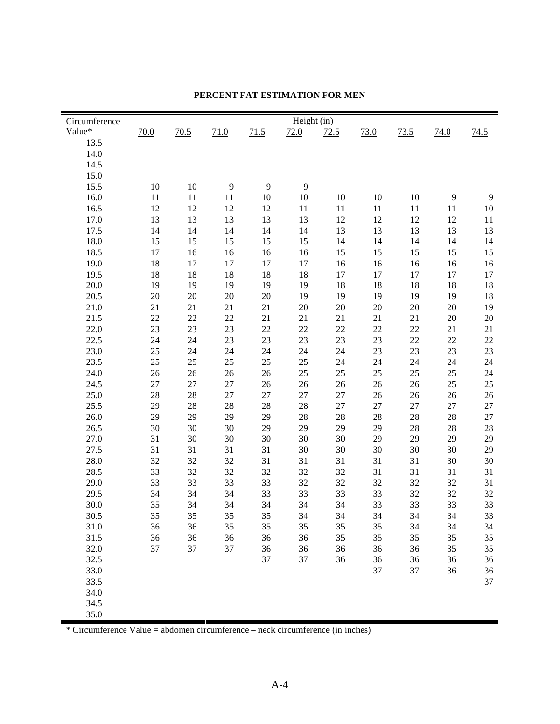| Circumference |      |      |      |      | Height (in) |      |        |      |      |      |
|---------------|------|------|------|------|-------------|------|--------|------|------|------|
| Value*        | 70.0 | 70.5 | 71.0 | 71.5 | 72.0        | 72.5 | 73.0   | 73.5 | 74.0 | 74.5 |
| 13.5          |      |      |      |      |             |      |        |      |      |      |
| 14.0          |      |      |      |      |             |      |        |      |      |      |
| 14.5          |      |      |      |      |             |      |        |      |      |      |
| 15.0          |      |      |      |      |             |      |        |      |      |      |
| 15.5          | 10   | 10   | 9    | 9    | 9           |      |        |      |      |      |
| 16.0          | 11   | 11   | 11   | 10   | 10          | 10   | 10     | 10   | 9    | 9    |
| 16.5          | 12   | 12   | 12   | 12   | 11          | 11   | 11     | 11   | 11   | 10   |
| 17.0          | 13   | 13   | 13   | 13   | 13          | 12   | 12     | 12   | 12   | 11   |
| 17.5          | 14   | 14   | 14   | 14   | 14          | 13   | 13     | 13   | 13   | 13   |
| 18.0          | 15   | 15   | 15   | 15   | 15          | 14   | 14     | 14   | 14   | 14   |
| 18.5          | 17   | 16   | 16   | 16   | 16          | 15   | 15     | 15   | 15   | 15   |
| 19.0          | 18   | 17   | 17   | 17   | 17          | 16   | 16     | 16   | 16   | 16   |
| 19.5          | 18   | 18   | 18   | 18   | 18          | 17   | 17     | 17   | 17   | 17   |
| 20.0          | 19   | 19   | 19   | 19   | 19          | 18   | 18     | 18   | 18   | 18   |
| 20.5          | 20   | 20   | 20   | 20   | 19          | 19   | 19     | 19   | 19   | 18   |
| 21.0          | 21   | 21   | 21   | 21   | 20          | 20   | 20     | 20   | 20   | 19   |
| 21.5          | 22   | 22   | 22   | 21   | 21          | 21   | 21     | 21   | 20   | 20   |
| 22.0          | 23   | 23   | 23   | 22   | 22          | 22   | 22     | 22   | 21   | 21   |
| 22.5          | 24   | 24   | 23   | 23   | 23          | 23   | 23     | 22   | 22   | 22   |
| 23.0          | 25   | 24   | 24   | 24   | 24          | 24   | 23     | 23   | 23   | 23   |
| 23.5          | 25   | 25   | 25   | 25   | 25          | 24   | 24     | 24   | 24   | 24   |
| 24.0          | 26   | 26   | 26   | 26   | $25\,$      | 25   | 25     | 25   | 25   | 24   |
| 24.5          | 27   | 27   | 27   | 26   | 26          | 26   | 26     | 26   | 25   | 25   |
| 25.0          | 28   | 28   | 27   | 27   | $27\,$      | 27   | 26     | 26   | 26   | 26   |
| 25.5          | 29   | 28   | 28   | 28   | 28          | 27   | $27\,$ | 27   | 27   | 27   |
| 26.0          | 29   | 29   | 29   | 29   | 28          | 28   | 28     | 28   | 28   | 27   |
| 26.5          | 30   | 30   | 30   | 29   | 29          | 29   | 29     | 28   | 28   | 28   |
| 27.0          | 31   | 30   | 30   | 30   | 30          | 30   | 29     | 29   | 29   | 29   |
| 27.5          | 31   | 31   | 31   | 31   | 30          | 30   | 30     | 30   | 30   | 29   |
| 28.0          | 32   | 32   | 32   | 31   | 31          | 31   | 31     | 31   | 30   | 30   |
| 28.5          | 33   | 32   | 32   | 32   | 32          | 32   | 31     | 31   | 31   | 31   |
| 29.0          | 33   | 33   | 33   | 33   | 32          | 32   | 32     | 32   | 32   | 31   |
| 29.5          | 34   | 34   | 34   | 33   | 33          | 33   | 33     | 32   | 32   | 32   |
| 30.0          | 35   | 34   | 34   | 34   | 34          | 34   | 33     | 33   | 33   | 33   |
| 30.5          | 35   | 35   | 35   | 35   | 34          | 34   | 34     | 34   | 34   | 33   |
| 31.0          | 36   | 36   | 35   | 35   | 35          | 35   | 35     | 34   | 34   | 34   |
| 31.5          | 36   | 36   | 36   | 36   | 36          | 35   | 35     | 35   | 35   | 35   |
| 32.0          | 37   | 37   | 37   | 36   | 36          | 36   | 36     | 36   | 35   | 35   |
| 32.5          |      |      |      | 37   | 37          | 36   | 36     | 36   | 36   | 36   |
| 33.0          |      |      |      |      |             |      | 37     | 37   | 36   | 36   |
| 33.5          |      |      |      |      |             |      |        |      |      | 37   |
| 34.0          |      |      |      |      |             |      |        |      |      |      |
| 34.5          |      |      |      |      |             |      |        |      |      |      |
| 35.0          |      |      |      |      |             |      |        |      |      |      |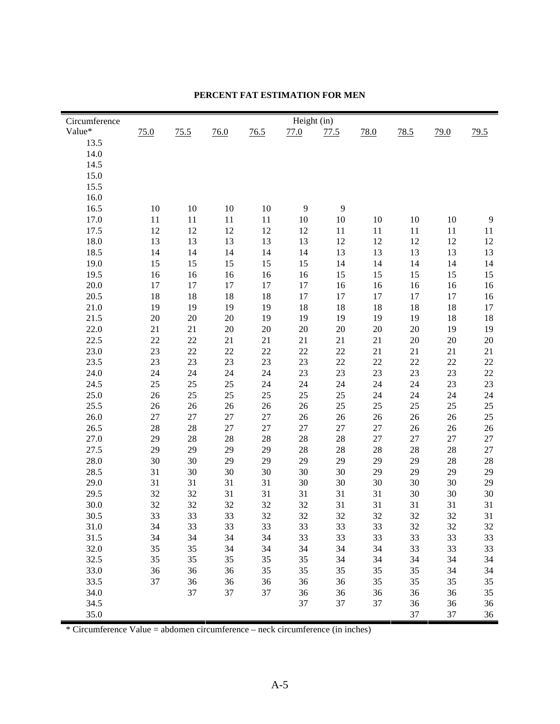| Circumference |      |      |        |      | Height (in) |        |        |        |      |      |
|---------------|------|------|--------|------|-------------|--------|--------|--------|------|------|
| Value*        | 75.0 | 75.5 | 76.0   | 76.5 | 77.0        | 77.5   | 78.0   | 78.5   | 79.0 | 79.5 |
| 13.5          |      |      |        |      |             |        |        |        |      |      |
| 14.0          |      |      |        |      |             |        |        |        |      |      |
| 14.5          |      |      |        |      |             |        |        |        |      |      |
| 15.0          |      |      |        |      |             |        |        |        |      |      |
| 15.5          |      |      |        |      |             |        |        |        |      |      |
| 16.0          |      |      |        |      |             |        |        |        |      |      |
| 16.5          | 10   | 10   | 10     | 10   | 9           | 9      |        |        |      |      |
| 17.0          | 11   | 11   | 11     | 11   | 10          | 10     | 10     | 10     | 10   | 9    |
| 17.5          | 12   | 12   | 12     | 12   | 12          | 11     | 11     | 11     | 11   | 11   |
| 18.0          | 13   | 13   | 13     | 13   | 13          | 12     | 12     | 12     | 12   | 12   |
| 18.5          | 14   | 14   | 14     | 14   | 14          | 13     | 13     | 13     | 13   | 13   |
| 19.0          | 15   | 15   | 15     | 15   | 15          | 14     | 14     | 14     | 14   | 14   |
| 19.5          | 16   | 16   | 16     | 16   | 16          | 15     | 15     | 15     | 15   | 15   |
| 20.0          | 17   | 17   | 17     | 17   | 17          | 16     | 16     | 16     | 16   | 16   |
| 20.5          | 18   | 18   | 18     | 18   | 17          | 17     | 17     | 17     | 17   | 16   |
| 21.0          | 19   | 19   | 19     | 19   | 18          | 18     | 18     | 18     | 18   | 17   |
| 21.5          | 20   | 20   | 20     | 19   | 19          | 19     | 19     | 19     | 18   | 18   |
| 22.0          | 21   | 21   | 20     | 20   | $20\,$      | 20     | $20\,$ | 20     | 19   | 19   |
| 22.5          | 22   | 22   | 21     | 21   | 21          | 21     | 21     | 20     | 20   | 20   |
| 23.0          | 23   | 22   | 22     | 22   | $22\,$      | 22     | 21     | 21     | 21   | 21   |
| 23.5          | 23   | 23   | 23     | 23   | 23          | $22\,$ | $22\,$ | 22     | 22   | 22   |
| 24.0          | 24   | 24   | 24     | 24   | 23          | 23     | 23     | 23     | 23   | 22   |
| 24.5          | 25   | 25   | 25     | 24   | 24          | 24     | 24     | 24     | 23   | 23   |
| 25.0          | 26   | 25   | 25     | 25   | $25\,$      | 25     | 24     | 24     | 24   | 24   |
| 25.5          | 26   | 26   | 26     | 26   | $26\,$      | 25     | 25     | $25\,$ | 25   | 25   |
| 26.0          | 27   | 27   | 27     | 27   | $26\,$      | 26     | 26     | 26     | 26   | 25   |
| 26.5          | 28   | 28   | $27\,$ | 27   | $27\,$      | 27     | 27     | 26     | 26   | 26   |
| 27.0          | 29   | 28   | 28     | 28   | $28\,$      | 28     | 27     | $27\,$ | 27   | 27   |
| 27.5          | 29   | 29   | 29     | 29   | $28\,$      | 28     | 28     | 28     | 28   | 27   |
| 28.0          | 30   | 30   | 29     | 29   | 29          | 29     | 29     | 29     | 28   | 28   |
| 28.5          | 31   | 30   | 30     | 30   | 30          | 30     | 29     | 29     | 29   | 29   |
| 29.0          | 31   | 31   | 31     | 31   | 30          | 30     | 30     | 30     | 30   | 29   |
| 29.5          | 32   | 32   | 31     | 31   | 31          | 31     | 31     | 30     | 30   | 30   |
| 30.0          | 32   | 32   | 32     | 32   | 32          | 31     | 31     | 31     | 31   | 31   |
| 30.5          | 33   | 33   | 33     | 32   | 32          | 32     | 32     | 32     | 32   | 31   |
| 31.0          | 34   | 33   | 33     | 33   | 33          | 33     | 33     | 32     | 32   | 32   |
| 31.5          | 34   | 34   | 34     | 34   | 33          | 33     | 33     | 33     | 33   | 33   |
| 32.0          | 35   | 35   | 34     | 34   | 34          | 34     | 34     | 33     | 33   | 33   |
| 32.5          | 35   | 35   | 35     | 35   | 35          | 34     | 34     | 34     | 34   | 34   |
| 33.0          | 36   | 36   | 36     | 35   | 35          | 35     | 35     | 35     | 34   | 34   |
| 33.5          | 37   | 36   | 36     | 36   | 36          | 36     | 35     | 35     | 35   | 35   |
| 34.0          |      | 37   | 37     | 37   | 36          | 36     | 36     | 36     | 36   | 35   |
| 34.5          |      |      |        |      | 37          | 37     | 37     | 36     | 36   | 36   |
| 35.0          |      |      |        |      |             |        |        | 37     | 37   | 36   |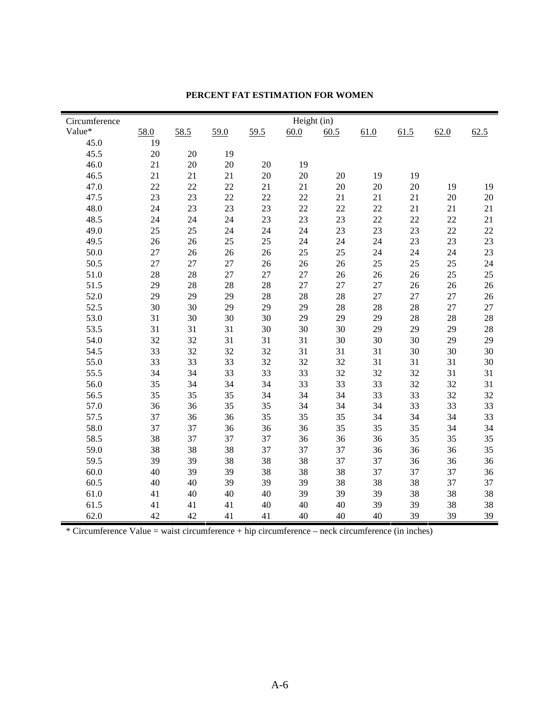| Circumference |      |      |      |        | Height (in) |        |        |      |      |        |
|---------------|------|------|------|--------|-------------|--------|--------|------|------|--------|
| Value*        | 58.0 | 58.5 | 59.0 | 59.5   | 60.0        | 60.5   | 61.0   | 61.5 | 62.0 | 62.5   |
| 45.0          | 19   |      |      |        |             |        |        |      |      |        |
| 45.5          | 20   | 20   | 19   |        |             |        |        |      |      |        |
| 46.0          | 21   | 20   | 20   | 20     | 19          |        |        |      |      |        |
| 46.5          | 21   | 21   | 21   | $20\,$ | 20          | 20     | 19     | 19   |      |        |
| 47.0          | 22   | 22   | 22   | 21     | 21          | 20     | 20     | 20   | 19   | 19     |
| 47.5          | 23   | 23   | 22   | 22     | $22\,$      | 21     | 21     | 21   | 20   | $20\,$ |
| 48.0          | 24   | 23   | 23   | 23     | $22\,$      | $22\,$ | 22     | 21   | 21   | 21     |
| 48.5          | 24   | 24   | 24   | 23     | 23          | 23     | 22     | 22   | 22   | 21     |
| 49.0          | 25   | 25   | 24   | 24     | 24          | 23     | 23     | 23   | 22   | $22\,$ |
| 49.5          | 26   | 26   | 25   | 25     | 24          | 24     | 24     | 23   | 23   | 23     |
| 50.0          | 27   | 26   | 26   | 26     | 25          | 25     | 24     | 24   | 24   | 23     |
| 50.5          | 27   | 27   | 27   | 26     | 26          | 26     | 25     | 25   | 25   | 24     |
| 51.0          | 28   | 28   | 27   | 27     | 27          | 26     | 26     | 26   | 25   | 25     |
| 51.5          | 29   | 28   | 28   | 28     | 27          | 27     | $27\,$ | 26   | 26   | 26     |
| 52.0          | 29   | 29   | 29   | 28     | 28          | 28     | $27\,$ | 27   | 27   | 26     |
| 52.5          | 30   | 30   | 29   | 29     | 29          | 28     | 28     | 28   | 27   | 27     |
| 53.0          | 31   | 30   | 30   | 30     | 29          | 29     | 29     | 28   | 28   | $28\,$ |
| 53.5          | 31   | 31   | 31   | 30     | 30          | 30     | 29     | 29   | 29   | $28\,$ |
| 54.0          | 32   | 32   | 31   | 31     | 31          | 30     | 30     | 30   | 29   | 29     |
| 54.5          | 33   | 32   | 32   | 32     | 31          | 31     | 31     | 30   | 30   | 30     |
| 55.0          | 33   | 33   | 33   | 32     | 32          | 32     | 31     | 31   | 31   | $30\,$ |
| 55.5          | 34   | 34   | 33   | 33     | 33          | 32     | 32     | 32   | 31   | 31     |
| 56.0          | 35   | 34   | 34   | 34     | 33          | 33     | 33     | 32   | 32   | 31     |
| 56.5          | 35   | 35   | 35   | 34     | 34          | 34     | 33     | 33   | 32   | 32     |
| 57.0          | 36   | 36   | 35   | 35     | 34          | 34     | 34     | 33   | 33   | 33     |
| 57.5          | 37   | 36   | 36   | 35     | 35          | 35     | 34     | 34   | 34   | 33     |
| 58.0          | 37   | 37   | 36   | 36     | 36          | 35     | 35     | 35   | 34   | 34     |
| 58.5          | 38   | 37   | 37   | 37     | 36          | 36     | 36     | 35   | 35   | 35     |
| 59.0          | 38   | 38   | 38   | 37     | 37          | 37     | 36     | 36   | 36   | 35     |
| 59.5          | 39   | 39   | 38   | 38     | 38          | 37     | 37     | 36   | 36   | 36     |
| 60.0          | 40   | 39   | 39   | 38     | 38          | 38     | 37     | 37   | 37   | 36     |
| 60.5          | 40   | 40   | 39   | 39     | 39          | 38     | 38     | 38   | 37   | 37     |
| 61.0          | 41   | 40   | 40   | 40     | 39          | 39     | 39     | 38   | 38   | 38     |
| 61.5          | 41   | 41   | 41   | 40     | 40          | 40     | 39     | 39   | 38   | 38     |
| 62.0          | 42   | 42   | 41   | 41     | 40          | 40     | 40     | 39   | 39   | 39     |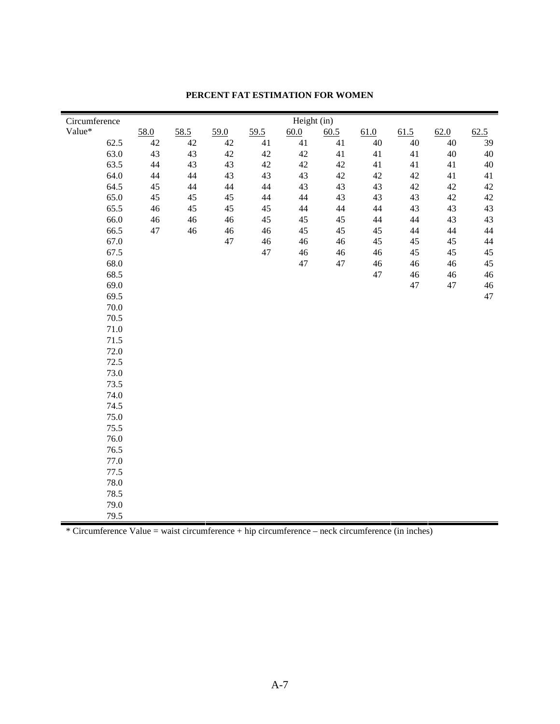| Circumference |          |        |        |        |        | Height (in) |        |        |        |        |        |
|---------------|----------|--------|--------|--------|--------|-------------|--------|--------|--------|--------|--------|
| Value*        |          | 58.0   | 58.5   | 59.0   | 59.5   | 60.0        | 60.5   | 61.0   | 61.5   | 62.0   | 62.5   |
|               | 62.5     | $42\,$ | $42\,$ | $42\,$ | 41     | 41          | 41     | $40\,$ | $40\,$ | 40     | 39     |
|               | 63.0     | 43     | 43     | 42     | $42\,$ | 42          | 41     | 41     | 41     | $40\,$ | 40     |
|               | 63.5     | $44\,$ | 43     | 43     | $42\,$ | 42          | 42     | 41     | 41     | 41     | $40\,$ |
|               | 64.0     | $44\,$ | 44     | 43     | 43     | 43          | 42     | $42\,$ | 42     | 41     | 41     |
|               | 64.5     | 45     | 44     | 44     | $44$   | 43          | 43     | 43     | 42     | 42     | 42     |
|               | 65.0     | 45     | 45     | 45     | $44\,$ | 44          | 43     | 43     | 43     | $42\,$ | 42     |
|               | 65.5     | 46     | 45     | 45     | $45\,$ | $44\,$      | 44     | $44\,$ | 43     | 43     | 43     |
|               | 66.0     | $46\,$ | 46     | 46     | $45\,$ | 45          | 45     | $44$   | 44     | 43     | 43     |
|               | 66.5     | 47     | 46     | 46     | $46\,$ | 45          | 45     | 45     | 44     | $44\,$ | $44$   |
|               | 67.0     |        |        | 47     | $46\,$ | 46          | 46     | 45     | 45     | 45     | 44     |
|               | 67.5     |        |        |        | 47     | 46          | $46\,$ | $46\,$ | 45     | 45     | 45     |
|               | 68.0     |        |        |        |        | 47          | $47\,$ | $46\,$ | $46\,$ | $46\,$ | 45     |
|               | 68.5     |        |        |        |        |             |        | 47     | $46\,$ | $46\,$ | 46     |
|               | 69.0     |        |        |        |        |             |        |        | $47\,$ | 47     | $46\,$ |
|               | 69.5     |        |        |        |        |             |        |        |        |        | 47     |
|               | $70.0\,$ |        |        |        |        |             |        |        |        |        |        |
|               | 70.5     |        |        |        |        |             |        |        |        |        |        |
|               | $71.0\,$ |        |        |        |        |             |        |        |        |        |        |
|               | 71.5     |        |        |        |        |             |        |        |        |        |        |
|               | 72.0     |        |        |        |        |             |        |        |        |        |        |
|               | 72.5     |        |        |        |        |             |        |        |        |        |        |
|               | 73.0     |        |        |        |        |             |        |        |        |        |        |
|               | 73.5     |        |        |        |        |             |        |        |        |        |        |
|               | 74.0     |        |        |        |        |             |        |        |        |        |        |
|               | 74.5     |        |        |        |        |             |        |        |        |        |        |
|               | 75.0     |        |        |        |        |             |        |        |        |        |        |
|               | 75.5     |        |        |        |        |             |        |        |        |        |        |
|               | 76.0     |        |        |        |        |             |        |        |        |        |        |
|               | 76.5     |        |        |        |        |             |        |        |        |        |        |
|               | 77.0     |        |        |        |        |             |        |        |        |        |        |
|               | 77.5     |        |        |        |        |             |        |        |        |        |        |
|               | 78.0     |        |        |        |        |             |        |        |        |        |        |
|               | 78.5     |        |        |        |        |             |        |        |        |        |        |
|               | 79.0     |        |        |        |        |             |        |        |        |        |        |
|               | 79.5     |        |        |        |        |             |        |        |        |        |        |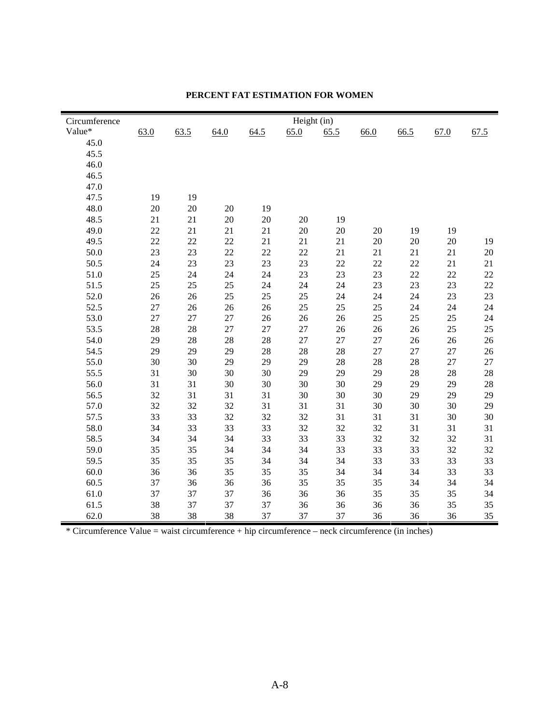| Circumference |      |      |      |        | Height (in) |      |      |      |      |        |
|---------------|------|------|------|--------|-------------|------|------|------|------|--------|
| Value*        | 63.0 | 63.5 | 64.0 | 64.5   | 65.0        | 65.5 | 66.0 | 66.5 | 67.0 | 67.5   |
| 45.0          |      |      |      |        |             |      |      |      |      |        |
| 45.5          |      |      |      |        |             |      |      |      |      |        |
| 46.0          |      |      |      |        |             |      |      |      |      |        |
| 46.5          |      |      |      |        |             |      |      |      |      |        |
| 47.0          |      |      |      |        |             |      |      |      |      |        |
| 47.5          | 19   | 19   |      |        |             |      |      |      |      |        |
| 48.0          | 20   | 20   | 20   | 19     |             |      |      |      |      |        |
| 48.5          | 21   | 21   | 20   | 20     | 20          | 19   |      |      |      |        |
| 49.0          | 22   | 21   | 21   | 21     | 20          | 20   | 20   | 19   | 19   |        |
| 49.5          | 22   | 22   | 22   | 21     | 21          | 21   | 20   | 20   | 20   | 19     |
| 50.0          | 23   | 23   | 22   | $22\,$ | 22          | 21   | 21   | 21   | 21   | 20     |
| 50.5          | 24   | 23   | 23   | 23     | 23          | 22   | 22   | 22   | 21   | 21     |
| 51.0          | 25   | 24   | 24   | 24     | 23          | 23   | 23   | 22   | 22   | $22\,$ |
| 51.5          | 25   | 25   | 25   | 24     | 24          | 24   | 23   | 23   | 23   | $22\,$ |
| 52.0          | 26   | 26   | 25   | 25     | 25          | 24   | 24   | 24   | 23   | 23     |
| 52.5          | 27   | 26   | 26   | 26     | 25          | 25   | 25   | 24   | 24   | 24     |
| 53.0          | 27   | 27   | 27   | 26     | 26          | 26   | 25   | 25   | 25   | 24     |
| 53.5          | 28   | 28   | 27   | $27\,$ | 27          | 26   | 26   | 26   | 25   | 25     |
| 54.0          | 29   | 28   | 28   | $28\,$ | $27\,$      | 27   | 27   | 26   | 26   | 26     |
| 54.5          | 29   | 29   | 29   | 28     | 28          | 28   | 27   | 27   | 27   | 26     |
| 55.0          | 30   | 30   | 29   | 29     | 29          | 28   | 28   | 28   | 27   | $27\,$ |
| 55.5          | 31   | 30   | 30   | 30     | 29          | 29   | 29   | 28   | 28   | $28\,$ |
| 56.0          | 31   | 31   | 30   | 30     | 30          | 30   | 29   | 29   | 29   | 28     |
| 56.5          | 32   | 31   | 31   | 31     | 30          | 30   | 30   | 29   | 29   | 29     |
| 57.0          | 32   | 32   | 32   | 31     | 31          | 31   | 30   | 30   | 30   | 29     |
| 57.5          | 33   | 33   | 32   | 32     | 32          | 31   | 31   | 31   | 30   | 30     |
| 58.0          | 34   | 33   | 33   | 33     | 32          | 32   | 32   | 31   | 31   | 31     |
| 58.5          | 34   | 34   | 34   | 33     | 33          | 33   | 32   | 32   | 32   | 31     |
| 59.0          | 35   | 35   | 34   | 34     | 34          | 33   | 33   | 33   | 32   | 32     |
| 59.5          | 35   | 35   | 35   | 34     | 34          | 34   | 33   | 33   | 33   | 33     |
| 60.0          | 36   | 36   | 35   | 35     | 35          | 34   | 34   | 34   | 33   | 33     |
| 60.5          | 37   | 36   | 36   | 36     | 35          | 35   | 35   | 34   | 34   | 34     |
| 61.0          | 37   | 37   | 37   | 36     | 36          | 36   | 35   | 35   | 35   | 34     |
| 61.5          | 38   | 37   | 37   | 37     | 36          | 36   | 36   | 36   | 35   | 35     |
| 62.0          | 38   | 38   | 38   | 37     | 37          | 37   | 36   | 36   | 36   | 35     |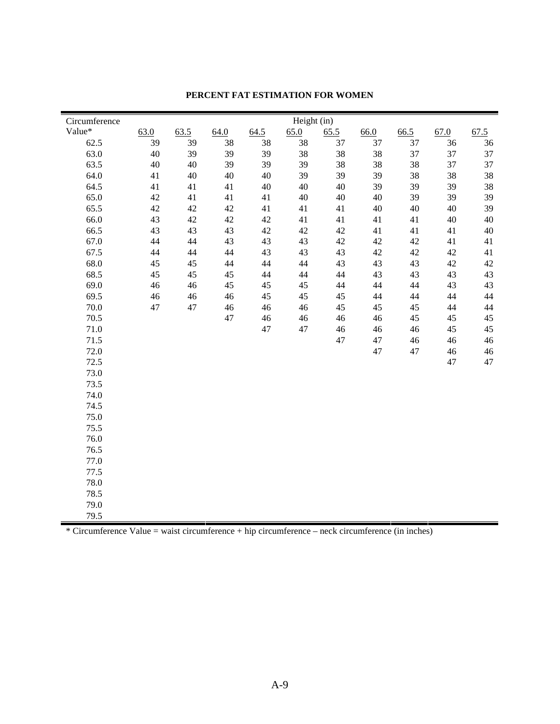| Circumference |      |      |      |      | Height (in) |      |        |        |      |      |
|---------------|------|------|------|------|-------------|------|--------|--------|------|------|
| Value*        | 63.0 | 63.5 | 64.0 | 64.5 | 65.0        | 65.5 | 66.0   | 66.5   | 67.0 | 67.5 |
| 62.5          | 39   | 39   | 38   | 38   | 38          | 37   | 37     | 37     | 36   | 36   |
| 63.0          | 40   | 39   | 39   | 39   | 38          | 38   | 38     | 37     | 37   | 37   |
| 63.5          | 40   | 40   | 39   | 39   | 39          | 38   | 38     | 38     | 37   | 37   |
| 64.0          | 41   | 40   | 40   | 40   | 39          | 39   | 39     | 38     | 38   | 38   |
| 64.5          | 41   | 41   | 41   | 40   | 40          | 40   | 39     | 39     | 39   | 38   |
| 65.0          | 42   | 41   | 41   | 41   | 40          | 40   | $40\,$ | 39     | 39   | 39   |
| 65.5          | 42   | 42   | 42   | 41   | 41          | 41   | 40     | 40     | 40   | 39   |
| 66.0          | 43   | 42   | 42   | 42   | 41          | 41   | 41     | 41     | 40   | 40   |
| 66.5          | 43   | 43   | 43   | 42   | 42          | 42   | 41     | 41     | 41   | 40   |
| 67.0          | 44   | 44   | 43   | 43   | 43          | 42   | $42\,$ | 42     | 41   | 41   |
| 67.5          | 44   | 44   | 44   | 43   | 43          | 43   | $42\,$ | $42\,$ | 42   | 41   |
| 68.0          | 45   | 45   | 44   | 44   | 44          | 43   | 43     | 43     | 42   | 42   |
| 68.5          | 45   | 45   | 45   | 44   | 44          | 44   | 43     | 43     | 43   | 43   |
| 69.0          | 46   | 46   | 45   | 45   | 45          | 44   | 44     | 44     | 43   | 43   |
| 69.5          | 46   | 46   | 46   | 45   | 45          | 45   | 44     | 44     | 44   | 44   |
| $70.0\,$      | 47   | 47   | 46   | 46   | 46          | 45   | 45     | 45     | 44   | 44   |
| 70.5          |      |      | 47   | 46   | 46          | 46   | 46     | 45     | 45   | 45   |
| 71.0          |      |      |      | 47   | 47          | 46   | $46\,$ | 46     | 45   | 45   |
| 71.5          |      |      |      |      |             | 47   | 47     | 46     | 46   | 46   |
| 72.0          |      |      |      |      |             |      | 47     | 47     | 46   | 46   |
| 72.5          |      |      |      |      |             |      |        |        | 47   | 47   |
| 73.0          |      |      |      |      |             |      |        |        |      |      |
| 73.5          |      |      |      |      |             |      |        |        |      |      |
| 74.0          |      |      |      |      |             |      |        |        |      |      |
| 74.5          |      |      |      |      |             |      |        |        |      |      |
| 75.0          |      |      |      |      |             |      |        |        |      |      |
| 75.5          |      |      |      |      |             |      |        |        |      |      |
| 76.0          |      |      |      |      |             |      |        |        |      |      |
| 76.5          |      |      |      |      |             |      |        |        |      |      |
| 77.0          |      |      |      |      |             |      |        |        |      |      |
| 77.5          |      |      |      |      |             |      |        |        |      |      |
| 78.0          |      |      |      |      |             |      |        |        |      |      |
| 78.5          |      |      |      |      |             |      |        |        |      |      |
| 79.0          |      |      |      |      |             |      |        |        |      |      |
| 79.5          |      |      |      |      |             |      |        |        |      |      |
|               |      |      |      |      |             |      |        |        |      |      |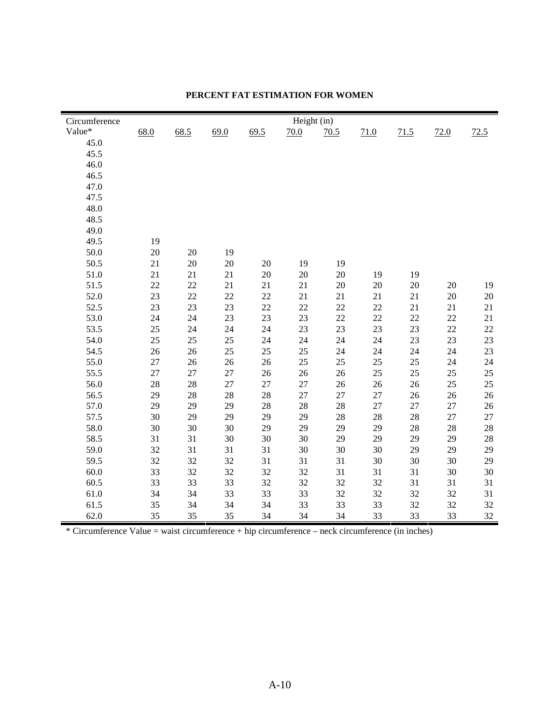| Circumference |      |      |      |      | Height (in) |      |        |      |      |      |
|---------------|------|------|------|------|-------------|------|--------|------|------|------|
| Value*        | 68.0 | 68.5 | 69.0 | 69.5 | 70.0        | 70.5 | 71.0   | 71.5 | 72.0 | 72.5 |
| 45.0          |      |      |      |      |             |      |        |      |      |      |
| 45.5          |      |      |      |      |             |      |        |      |      |      |
| 46.0          |      |      |      |      |             |      |        |      |      |      |
| 46.5          |      |      |      |      |             |      |        |      |      |      |
| 47.0          |      |      |      |      |             |      |        |      |      |      |
| 47.5          |      |      |      |      |             |      |        |      |      |      |
| 48.0          |      |      |      |      |             |      |        |      |      |      |
| 48.5          |      |      |      |      |             |      |        |      |      |      |
| 49.0          |      |      |      |      |             |      |        |      |      |      |
| 49.5          | 19   |      |      |      |             |      |        |      |      |      |
| 50.0          | 20   | 20   | 19   |      |             |      |        |      |      |      |
| 50.5          | 21   | 20   | 20   | 20   | 19          | 19   |        |      |      |      |
| 51.0          | 21   | 21   | 21   | 20   | 20          | 20   | 19     | 19   |      |      |
| 51.5          | 22   | 22   | 21   | 21   | 21          | 20   | $20\,$ | 20   | 20   | 19   |
| 52.0          | 23   | 22   | 22   | 22   | 21          | 21   | 21     | 21   | 20   | 20   |
| 52.5          | 23   | 23   | 23   | 22   | 22          | 22   | 22     | 21   | 21   | 21   |
| 53.0          | 24   | 24   | 23   | 23   | 23          | 22   | 22     | 22   | 22   | 21   |
| 53.5          | 25   | 24   | 24   | 24   | 23          | 23   | 23     | 23   | 22   | 22   |
| 54.0          | 25   | 25   | 25   | 24   | 24          | 24   | 24     | 23   | 23   | 23   |
| 54.5          | 26   | 26   | 25   | 25   | 25          | 24   | 24     | 24   | 24   | 23   |
| 55.0          | 27   | 26   | 26   | 26   | 25          | 25   | 25     | 25   | 24   | 24   |
| 55.5          | 27   | 27   | 27   | 26   | 26          | 26   | 25     | 25   | 25   | 25   |
| 56.0          | 28   | 28   | 27   | 27   | 27          | 26   | 26     | 26   | 25   | 25   |
| 56.5          | 29   | 28   | 28   | 28   | 27          | 27   | 27     | 26   | 26   | 26   |
| 57.0          | 29   | 29   | 29   | 28   | 28          | 28   | 27     | 27   | 27   | 26   |
| 57.5          | 30   | 29   | 29   | 29   | 29          | 28   | 28     | 28   | 27   | 27   |
| 58.0          | 30   | 30   | 30   | 29   | 29          | 29   | 29     | 28   | 28   | 28   |
| 58.5          | 31   | 31   | 30   | 30   | 30          | 29   | 29     | 29   | 29   | 28   |
| 59.0          | 32   | 31   | 31   | 31   | 30          | 30   | 30     | 29   | 29   | 29   |
| 59.5          | 32   | 32   | 32   | 31   | 31          | 31   | 30     | 30   | 30   | 29   |
| 60.0          | 33   | 32   | 32   | 32   | 32          | 31   | 31     | 31   | 30   | 30   |
| 60.5          | 33   | 33   | 33   | 32   | 32          | 32   | 32     | 31   | 31   | 31   |
| 61.0          | 34   | 34   | 33   | 33   | 33          | 32   | 32     | 32   | 32   | 31   |
| 61.5          | 35   | 34   | 34   | 34   | 33          | 33   | 33     | 32   | 32   | 32   |
| 62.0          | 35   | 35   | 35   | 34   | 34          | 34   | 33     | 33   | 33   | 32   |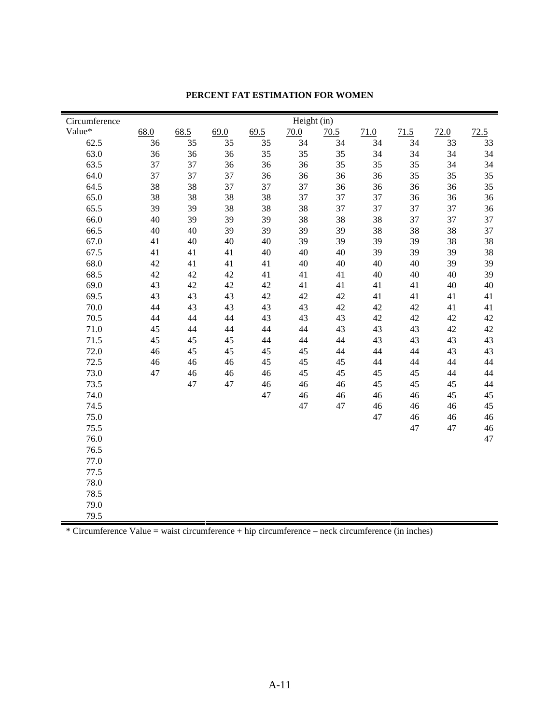| Circumference |      |      |      |      | Height (in) |      |      |      |      |      |
|---------------|------|------|------|------|-------------|------|------|------|------|------|
| Value*        | 68.0 | 68.5 | 69.0 | 69.5 | 70.0        | 70.5 | 71.0 | 71.5 | 72.0 | 72.5 |
| 62.5          | 36   | 35   | 35   | 35   | 34          | 34   | 34   | 34   | 33   | 33   |
| 63.0          | 36   | 36   | 36   | 35   | 35          | 35   | 34   | 34   | 34   | 34   |
| 63.5          | 37   | 37   | 36   | 36   | 36          | 35   | 35   | 35   | 34   | 34   |
| 64.0          | 37   | 37   | 37   | 36   | 36          | 36   | 36   | 35   | 35   | 35   |
| 64.5          | 38   | 38   | 37   | 37   | 37          | 36   | 36   | 36   | 36   | 35   |
| 65.0          | 38   | 38   | 38   | 38   | 37          | 37   | 37   | 36   | 36   | 36   |
| 65.5          | 39   | 39   | 38   | 38   | 38          | 37   | 37   | 37   | 37   | 36   |
| 66.0          | 40   | 39   | 39   | 39   | 38          | 38   | 38   | 37   | 37   | 37   |
| 66.5          | 40   | 40   | 39   | 39   | 39          | 39   | 38   | 38   | 38   | 37   |
| 67.0          | 41   | 40   | 40   | 40   | 39          | 39   | 39   | 39   | 38   | 38   |
| 67.5          | 41   | 41   | 41   | 40   | 40          | 40   | 39   | 39   | 39   | 38   |
| 68.0          | 42   | 41   | 41   | 41   | 40          | 40   | 40   | 40   | 39   | 39   |
| 68.5          | 42   | 42   | 42   | 41   | 41          | 41   | 40   | 40   | 40   | 39   |
| 69.0          | 43   | 42   | 42   | 42   | 41          | 41   | 41   | 41   | 40   | 40   |
| 69.5          | 43   | 43   | 43   | 42   | 42          | 42   | 41   | 41   | 41   | 41   |
| 70.0          | 44   | 43   | 43   | 43   | 43          | 42   | 42   | 42   | 41   | 41   |
| 70.5          | 44   | 44   | 44   | 43   | 43          | 43   | 42   | 42   | 42   | 42   |
| 71.0          | 45   | 44   | 44   | 44   | 44          | 43   | 43   | 43   | 42   | 42   |
| 71.5          | 45   | 45   | 45   | 44   | 44          | 44   | 43   | 43   | 43   | 43   |
| 72.0          | 46   | 45   | 45   | 45   | 45          | 44   | 44   | 44   | 43   | 43   |
| 72.5          | 46   | 46   | 46   | 45   | 45          | 45   | 44   | 44   | 44   | 44   |
| 73.0          | 47   | 46   | 46   | 46   | 45          | 45   | 45   | 45   | 44   | $44$ |
| 73.5          |      | 47   | 47   | 46   | 46          | 46   | 45   | 45   | 45   | $44$ |
| 74.0          |      |      |      | 47   | 46          | 46   | 46   | 46   | 45   | 45   |
| 74.5          |      |      |      |      | 47          | 47   | 46   | 46   | 46   | 45   |
| 75.0          |      |      |      |      |             |      | 47   | 46   | 46   | 46   |
| 75.5          |      |      |      |      |             |      |      | 47   | 47   | 46   |
| 76.0          |      |      |      |      |             |      |      |      |      | 47   |
| 76.5          |      |      |      |      |             |      |      |      |      |      |
| 77.0          |      |      |      |      |             |      |      |      |      |      |
| 77.5          |      |      |      |      |             |      |      |      |      |      |
| 78.0          |      |      |      |      |             |      |      |      |      |      |
| 78.5          |      |      |      |      |             |      |      |      |      |      |
| 79.0          |      |      |      |      |             |      |      |      |      |      |
| 79.5          |      |      |      |      |             |      |      |      |      |      |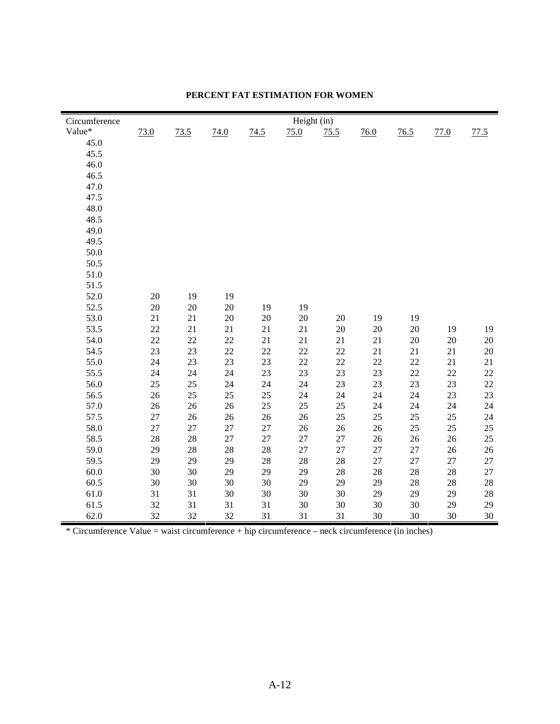| Circumference | Height (in) |      |      |      |      |      |        |      |      |        |
|---------------|-------------|------|------|------|------|------|--------|------|------|--------|
| Value*        | 73.0        | 73.5 | 74.0 | 74.5 | 75.0 | 75.5 | 76.0   | 76.5 | 77.0 | 77.5   |
| 45.0          |             |      |      |      |      |      |        |      |      |        |
| 45.5          |             |      |      |      |      |      |        |      |      |        |
| 46.0          |             |      |      |      |      |      |        |      |      |        |
| 46.5          |             |      |      |      |      |      |        |      |      |        |
| 47.0          |             |      |      |      |      |      |        |      |      |        |
| 47.5          |             |      |      |      |      |      |        |      |      |        |
| 48.0          |             |      |      |      |      |      |        |      |      |        |
| 48.5          |             |      |      |      |      |      |        |      |      |        |
| 49.0          |             |      |      |      |      |      |        |      |      |        |
| 49.5          |             |      |      |      |      |      |        |      |      |        |
| 50.0          |             |      |      |      |      |      |        |      |      |        |
| 50.5          |             |      |      |      |      |      |        |      |      |        |
| 51.0          |             |      |      |      |      |      |        |      |      |        |
| 51.5          |             |      |      |      |      |      |        |      |      |        |
| 52.0          | 20          | 19   | 19   |      |      |      |        |      |      |        |
| 52.5          | 20          | 20   | 20   | 19   | 19   |      |        |      |      |        |
| 53.0          | 21          | 21   | 20   | 20   | 20   | 20   | 19     | 19   |      |        |
| 53.5          | 22          | 21   | 21   | 21   | 21   | 20   | $20\,$ | 20   | 19   | 19     |
| 54.0          | 22          | 22   | 22   | 21   | 21   | 21   | 21     | 20   | 20   | $20\,$ |
| 54.5          | 23          | 23   | 22   | 22   | 22   | 22   | 21     | 21   | 21   | $20\,$ |
| 55.0          | 24          | 23   | 23   | 23   | 22   | 22   | 22     | 22   | 21   | 21     |
| 55.5          | 24          | 24   | 24   | 23   | 23   | 23   | 23     | 22   | 22   | $22\,$ |
| 56.0          | 25          | 25   | 24   | 24   | 24   | 23   | 23     | 23   | 23   | $22\,$ |
| 56.5          | 26          | 25   | 25   | 25   | 24   | 24   | 24     | 24   | 23   | 23     |
| 57.0          | 26          | 26   | 26   | 25   | 25   | 25   | 24     | 24   | 24   | 24     |
| 57.5          | 27          | 26   | 26   | 26   | 26   | 25   | 25     | 25   | 25   | 24     |
| 58.0          | 27          | 27   | 27   | 27   | 26   | 26   | 26     | 25   | 25   | 25     |
| 58.5          | 28          | 28   | 27   | 27   | 27   | 27   | 26     | 26   | 26   | $25\,$ |
| 59.0          | 29          | 28   | 28   | 28   | 27   | 27   | 27     | 27   | 26   | $26\,$ |
| 59.5          | 29          | 29   | 29   | 28   | 28   | 28   | 27     | 27   | 27   | 27     |
| 60.0          | 30          | 30   | 29   | 29   | 29   | 28   | 28     | 28   | 28   | $27\,$ |
| 60.5          | 30          | 30   | 30   | 30   | 29   | 29   | 29     | 28   | 28   | $28\,$ |
| 61.0          | 31          | 31   | 30   | 30   | 30   | 30   | 29     | 29   | 29   | $28\,$ |
| 61.5          | 32          | 31   | 31   | 31   | 30   | 30   | 30     | 30   | 29   | 29     |
| 62.0          | 32          | 32   | 32   | 31   | 31   | 31   | 30     | 30   | 30   | 30     |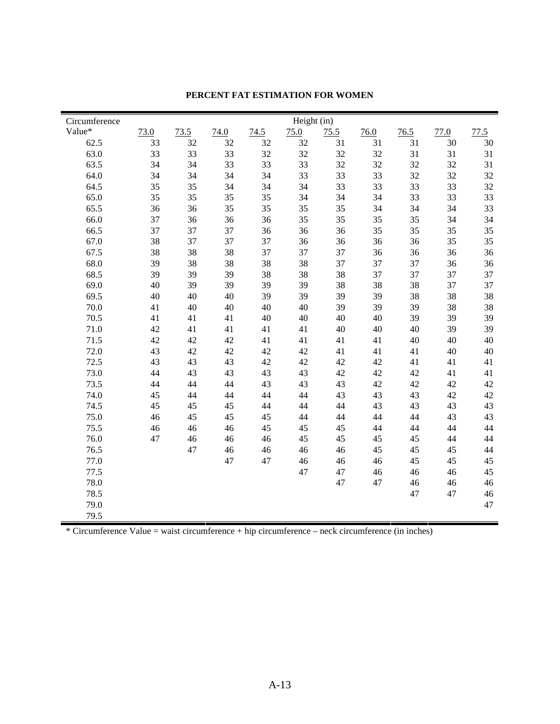| Circumference | Height (in) |      |      |      |      |      |        |      |      |      |
|---------------|-------------|------|------|------|------|------|--------|------|------|------|
| Value*        | 73.0        | 73.5 | 74.0 | 74.5 | 75.0 | 75.5 | 76.0   | 76.5 | 77.0 | 77.5 |
| 62.5          | 33          | 32   | 32   | 32   | 32   | 31   | 31     | 31   | 30   | 30   |
| 63.0          | 33          | 33   | 33   | 32   | 32   | 32   | 32     | 31   | 31   | 31   |
| 63.5          | 34          | 34   | 33   | 33   | 33   | 32   | 32     | 32   | 32   | 31   |
| 64.0          | 34          | 34   | 34   | 34   | 33   | 33   | 33     | 32   | 32   | 32   |
| 64.5          | 35          | 35   | 34   | 34   | 34   | 33   | 33     | 33   | 33   | 32   |
| 65.0          | 35          | 35   | 35   | 35   | 34   | 34   | 34     | 33   | 33   | 33   |
| 65.5          | 36          | 36   | 35   | 35   | 35   | 35   | 34     | 34   | 34   | 33   |
| 66.0          | 37          | 36   | 36   | 36   | 35   | 35   | 35     | 35   | 34   | 34   |
| 66.5          | 37          | 37   | 37   | 36   | 36   | 36   | 35     | 35   | 35   | 35   |
| 67.0          | 38          | 37   | 37   | 37   | 36   | 36   | 36     | 36   | 35   | 35   |
| 67.5          | 38          | 38   | 38   | 37   | 37   | 37   | 36     | 36   | 36   | 36   |
| 68.0          | 39          | 38   | 38   | 38   | 38   | 37   | 37     | 37   | 36   | 36   |
| 68.5          | 39          | 39   | 39   | 38   | 38   | 38   | 37     | 37   | 37   | 37   |
| 69.0          | 40          | 39   | 39   | 39   | 39   | 38   | 38     | 38   | 37   | 37   |
| 69.5          | 40          | 40   | 40   | 39   | 39   | 39   | 39     | 38   | 38   | 38   |
| 70.0          | 41          | 40   | 40   | 40   | 40   | 39   | 39     | 39   | 38   | 38   |
| 70.5          | 41          | 41   | 41   | 40   | 40   | 40   | 40     | 39   | 39   | 39   |
| 71.0          | 42          | 41   | 41   | 41   | 41   | 40   | 40     | 40   | 39   | 39   |
| 71.5          | 42          | 42   | 42   | 41   | 41   | 41   | 41     | 40   | 40   | 40   |
| 72.0          | 43          | 42   | 42   | 42   | 42   | 41   | 41     | 41   | 40   | 40   |
| 72.5          | 43          | 43   | 43   | 42   | 42   | 42   | 42     | 41   | 41   | 41   |
| 73.0          | 44          | 43   | 43   | 43   | 43   | 42   | $42\,$ | 42   | 41   | 41   |
| 73.5          | 44          | 44   | 44   | 43   | 43   | 43   | 42     | 42   | 42   | 42   |
| 74.0          | 45          | 44   | 44   | 44   | 44   | 43   | 43     | 43   | 42   | 42   |
| 74.5          | 45          | 45   | 45   | 44   | 44   | 44   | 43     | 43   | 43   | 43   |
| 75.0          | 46          | 45   | 45   | 45   | 44   | 44   | 44     | 44   | 43   | 43   |
| 75.5          | 46          | 46   | 46   | 45   | 45   | 45   | 44     | 44   | 44   | 44   |
| 76.0          | 47          | 46   | 46   | 46   | 45   | 45   | 45     | 45   | 44   | 44   |
| 76.5          |             | 47   | 46   | 46   | 46   | 46   | 45     | 45   | 45   | 44   |
| 77.0          |             |      | 47   | 47   | 46   | 46   | 46     | 45   | 45   | 45   |
| 77.5          |             |      |      |      | 47   | 47   | 46     | 46   | 46   | 45   |
| 78.0          |             |      |      |      |      | 47   | 47     | 46   | 46   | 46   |
| 78.5          |             |      |      |      |      |      |        | 47   | 47   | 46   |
| 79.0          |             |      |      |      |      |      |        |      |      | 47   |
| 79.5          |             |      |      |      |      |      |        |      |      |      |